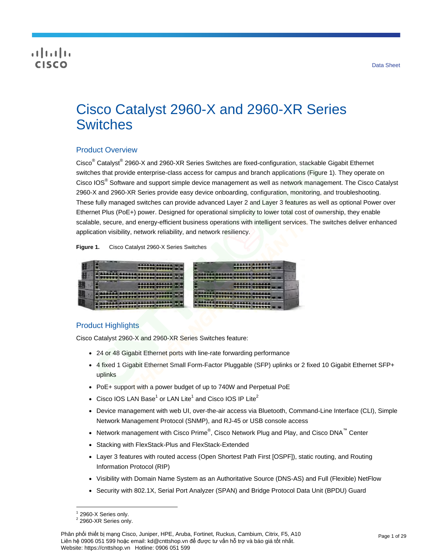# CISCO

# Cisco Catalyst 2960-X and 2960-XR Series **Switches**

# Product Overview

Cisco<sup>®</sup> Catalyst<sup>®</sup> 2960-X and 2960-XR Series Switches are fixed-configuration, stackable Gigabit Ethernet switches that provide enterprise-class access for campus and branch applications (Figure 1). They operate on Cisco IOS<sup>®</sup> Software and support simple device management as well as network management. The Cisco Catalyst 2960-X and 2960-XR Series provide easy device onboarding, configuration, monitoring, and troubleshooting. These fully managed switches can provide advanced Layer 2 and Layer 3 features as well as optional Power over Ethernet Plus (PoE+) power. Designed for operational simplicity to lower total cost of ownership, they enable scalable, secure, and energy-efficient business operations with intelligent services. The switches deliver enhanced application visibility, network reliability, and network resiliency.

**Figure 1.** Cisco Catalyst 2960-X Series Switches



# Product Highlights

Cisco Catalyst 2960-X and 2960-XR Series Switches feature:

- 24 or 48 Gigabit Ethernet ports with line-rate forwarding performance
- 4 fixed 1 Gigabit Ethernet Small Form-Factor Pluggable (SFP) uplinks or 2 fixed 10 Gigabit Ethernet SFP+ uplinks
- PoE+ support with a power budget of up to 740W and Perpetual PoE
- Cisco IOS LAN Base<sup>1</sup> or LAN Lite<sup>1</sup> and Cisco IOS IP Lite<sup>2</sup>
- Device management with web UI, over-the-air access via Bluetooth, Command-Line Interface (CLI), Simple Network Management Protocol (SNMP), and RJ-45 or USB console access
- Network management with Cisco Prime®, Cisco Network Plug and Play, and Cisco DNA<sup>™</sup> Center
- Stacking with FlexStack-Plus and FlexStack-Extended
- Layer 3 features with routed access (Open Shortest Path First [OSPF]), static routing, and Routing Information Protocol (RIP)
- Visibility with Domain Name System as an Authoritative Source (DNS-AS) and Full (Flexible) NetFlow
- Security with 802.1X, Serial Port Analyzer (SPAN) and Bridge Protocol Data Unit (BPDU) Guard

<sup>1</sup> 2960-X Series only.

 $2$  2960-XR Series only.

Phân phối thiết bị mạng Cisco, Juniper, HPE, Aruba, Fortinet, Ruckus, Cambium, Citrix, F5, A10 Liên hệ 0906 051 599 hoặc email: kd@cnttshop.vn để được tư vấn hỗ trợ và báo giá tốt nhất. Website: https://cnttshop.vn Hotline: 0906 051 599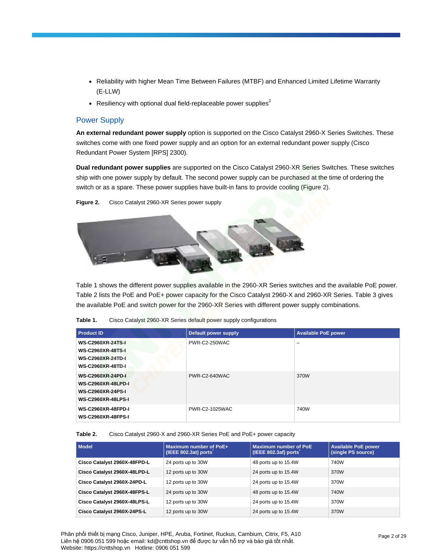- Reliability with higher Mean Time Between Failures (MTBF) and Enhanced Limited Lifetime Warranty (E-LLW)
- Resiliency with optional dual field-replaceable power supplies<sup>2</sup>

## Power Supply

**An external redundant power supply** option is supported on the Cisco Catalyst 2960-X Series Switches. These switches come with one fixed power supply and an option for an external redundant power supply (Cisco Redundant Power System [RPS] 2300).

**Dual redundant power supplies** are supported on the Cisco Catalyst 2960-XR Series Switches. These switches ship with one power supply by default. The second power supply can be purchased at the time of ordering the switch or as a spare. These power supplies have built-in fans to provide cooling (Figure 2).

**Figure 2.** Cisco Catalyst 2960-XR Series power supply



Table 1 shows the different power supplies available in the 2960-XR Series switches and the available PoE power. Table 2 lists the PoE and PoE+ power capacity for the Cisco Catalyst 2960-X and 2960-XR Series. Table 3 gives the available PoE and switch power for the 2960-XR Series with different power supply combinations.

| Table 1. | Cisco Catalyst 2960-XR Series default power supply configurations |  |
|----------|-------------------------------------------------------------------|--|
|----------|-------------------------------------------------------------------|--|

| <b>Product ID</b>                                                                                              | Default power supply | <b>Available PoE power</b> |
|----------------------------------------------------------------------------------------------------------------|----------------------|----------------------------|
| <b>WS-C2960XR-24TS-I</b><br><b>WS-C2960XR-48TS-I</b><br><b>WS-C2960XR-24TD-I</b><br><b>WS-C2960XR-48TD-I</b>   | PWR-C2-250WAC        | -                          |
| <b>WS-C2960XR-24PD-I</b><br><b>WS-C2960XR-48LPD-I</b><br><b>WS-C2960XR-24PS-I</b><br><b>WS-C2960XR-48LPS-I</b> | PWR-C2-640WAC        | 370W                       |
| <b>WS-C2960XR-48FPD-I</b><br><b>WS-C2960XR-48FPS-I</b>                                                         | PWR-C2-1025WAC       | 740W                       |

**Table 2.** Cisco Catalyst 2960-X and 2960-XR Series PoE and PoE+ power capacity

| <b>Model</b>                 | Maximum number of PoE+<br>(IEEE 802.3at) ports | Maximum number of PoE<br>(IEEE 802.3af) ports | <b>Available PoE power</b><br>(single PS source) |
|------------------------------|------------------------------------------------|-----------------------------------------------|--------------------------------------------------|
| Cisco Catalyst 2960X-48FPD-L | 24 ports up to 30W                             | 48 ports up to 15.4W                          | 740W                                             |
| Cisco Catalyst 2960X-48LPD-L | 12 ports up to 30W                             | 24 ports up to 15.4W                          | 370W                                             |
| Cisco Catalyst 2960X-24PD-L  | 12 ports up to 30W                             | 24 ports up to 15.4W                          | 370W                                             |
| Cisco Catalyst 2960X-48FPS-L | 24 ports up to 30W                             | 48 ports up to 15.4W                          | 740W                                             |
| Cisco Catalyst 2960X-48LPS-L | 12 ports up to 30W                             | 24 ports up to 15.4W                          | 370W                                             |
| Cisco Catalyst 2960X-24PS-L  | 12 ports up to 30W                             | 24 ports up to 15.4W                          | 370W                                             |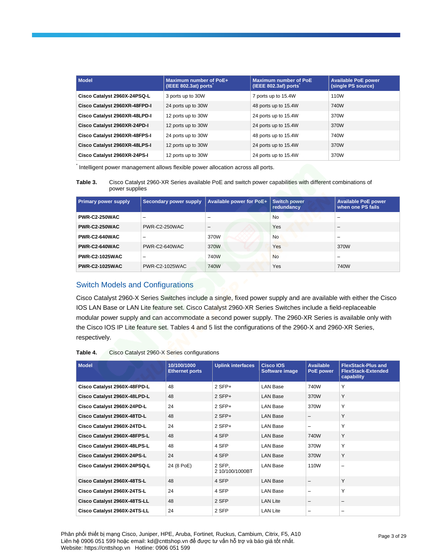| <b>Model</b>                  | <b>Maximum number of PoE+</b><br>(IEEE 802.3at) ports | <b>Maximum number of PoE</b><br>(IEEE 802.3af) ports | <b>Available PoE power</b><br>(single PS source) |
|-------------------------------|-------------------------------------------------------|------------------------------------------------------|--------------------------------------------------|
| Cisco Catalyst 2960X-24PSQ-L  | 3 ports up to 30W                                     | 7 ports up to 15.4W                                  | 110W                                             |
| Cisco Catalyst 2960XR-48FPD-I | 24 ports up to 30W                                    | 48 ports up to 15.4W                                 | 740W                                             |
| Cisco Catalyst 2960XR-48LPD-I | 12 ports up to 30W                                    | 24 ports up to 15.4W                                 | 370W                                             |
| Cisco Catalyst 2960XR-24PD-I  | 12 ports up to 30W                                    | 24 ports up to 15.4W                                 | 370W                                             |
| Cisco Catalyst 2960XR-48FPS-I | 24 ports up to 30W                                    | 48 ports up to 15.4W                                 | 740W                                             |
| Cisco Catalyst 2960XR-48LPS-I | 12 ports up to 30W                                    | 24 ports up to 15.4W                                 | 370W                                             |
| Cisco Catalyst 2960XR-24PS-I  | 12 ports up to 30W                                    | 24 ports up to 15.4W                                 | 370W                                             |

\* Intelligent power management allows flexible power allocation across all ports.

**Table 3.** Cisco Catalyst 2960-XR Series available PoE and switch power capabilities with different combinations of power supplies

| <b>Primary power supply</b> | Secondary power supply | Available power for PoE+ | <b>Switch power</b><br>redundancy | <b>Available PoE power</b><br>when one PS fails |
|-----------------------------|------------------------|--------------------------|-----------------------------------|-------------------------------------------------|
| <b>PWR-C2-250WAC</b>        | -                      | -                        | <b>No</b>                         | -                                               |
| <b>PWR-C2-250WAC</b>        | PWR-C2-250WAC          | -                        | Yes                               | -                                               |
| PWR-C2-640WAC               | -                      | 370W                     | <b>No</b>                         | -                                               |
| PWR-C2-640WAC               | PWR-C2-640WAC          | 370W                     | Yes                               | 370W                                            |
| <b>PWR-C2-1025WAC</b>       | -                      | 740W                     | <b>No</b>                         | -                                               |
| <b>PWR-C2-1025WAC</b>       | <b>PWR-C2-1025WAC</b>  | 740W                     | Yes                               | 740W                                            |

# Switch Models and Configurations

Cisco Catalyst 2960-X Series Switches include a single, fixed power supply and are available with either the Cisco IOS LAN Base or LAN Lite feature set. Cisco Catalyst 2960-XR Series Switches include a field-replaceable modular power supply and can accommodate a second power supply. The 2960-XR Series is available only with the Cisco IOS IP Lite feature set. Tables 4 and 5 list the configurations of the 2960-X and 2960-XR Series, respectively.

| Table 4. | Cisco Catalyst 2960-X Series configurations |
|----------|---------------------------------------------|
|----------|---------------------------------------------|

| <b>Model</b>                 | 10/100/1000<br><b>Ethernet ports</b> | <b>Uplink interfaces</b>  | <b>Cisco IOS</b><br>Software image | <b>Available</b><br>PoE power | <b>FlexStack-Plus and</b><br><b>FlexStack-Extended</b><br>capability |
|------------------------------|--------------------------------------|---------------------------|------------------------------------|-------------------------------|----------------------------------------------------------------------|
| Cisco Catalyst 2960X-48FPD-L | 48                                   | $2$ SFP+                  | <b>LAN Base</b>                    | 740W                          | Y                                                                    |
| Cisco Catalyst 2960X-48LPD-L | 48                                   | $2$ SFP+                  | <b>LAN Base</b>                    | 370W                          | Y                                                                    |
| Cisco Catalyst 2960X-24PD-L  | 24                                   | $2$ SFP+                  | <b>LAN Base</b>                    | 370W                          | Y                                                                    |
| Cisco Catalyst 2960X-48TD-L  | 48                                   | $2$ SFP+                  | <b>LAN Base</b>                    | -                             | Y                                                                    |
| Cisco Catalyst 2960X-24TD-L  | 24                                   | $2$ SFP+                  | <b>LAN Base</b>                    | -                             | Y                                                                    |
| Cisco Catalyst 2960X-48FPS-L | 48                                   | 4 SFP                     | <b>LAN Base</b>                    | 740W                          | Y                                                                    |
| Cisco Catalyst 2960X-48LPS-L | 48                                   | 4 SFP                     | <b>LAN Base</b>                    | 370W                          | Y                                                                    |
| Cisco Catalyst 2960X-24PS-L  | 24                                   | 4 SFP                     | <b>LAN Base</b>                    | 370W                          | Y                                                                    |
| Cisco Catalyst 2960X-24PSQ-L | 24 (8 PoE)                           | 2 SFP,<br>2 10/100/1000BT | <b>LAN Base</b>                    | 110W                          | $\overline{\phantom{0}}$                                             |
| Cisco Catalyst 2960X-48TS-L  | 48                                   | 4 SFP                     | <b>LAN Base</b>                    | -                             | Y                                                                    |
| Cisco Catalyst 2960X-24TS-L  | 24                                   | 4 SFP                     | <b>LAN Base</b>                    | -                             | Y                                                                    |
| Cisco Catalyst 2960X-48TS-LL | 48                                   | 2 SFP                     | <b>LAN Lite</b>                    | -                             | $\qquad \qquad -$                                                    |
| Cisco Catalyst 2960X-24TS-LL | 24                                   | 2 SFP                     | <b>LAN Lite</b>                    | -                             | -                                                                    |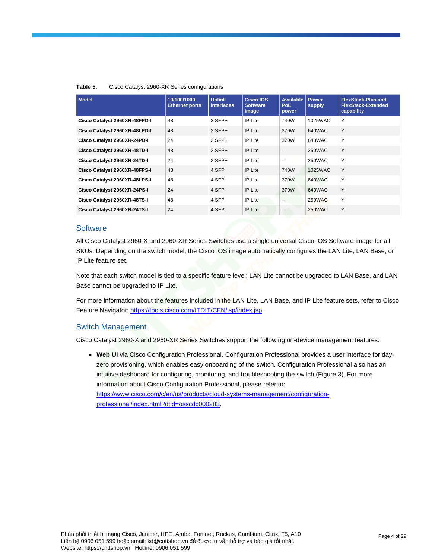| <b>Model</b>                  | 10/100/1000<br><b>Ethernet ports</b> | <b>Uplink</b><br><b>interfaces</b> | Cisco IOS<br><b>Software</b><br>image | <b>Available</b><br>PoE.<br>power | Power<br>supply | <b>FlexStack-Plus and</b><br><b>FlexStack-Extended</b><br>capability |
|-------------------------------|--------------------------------------|------------------------------------|---------------------------------------|-----------------------------------|-----------------|----------------------------------------------------------------------|
| Cisco Catalyst 2960XR-48FPD-I | 48                                   | $2$ SFP+                           | IP Lite                               | 740W                              | 1025WAC         | Υ                                                                    |
| Cisco Catalyst 2960XR-48LPD-I | 48                                   | $2$ SFP+                           | <b>IP Lite</b>                        | 370W                              | 640WAC          | Y                                                                    |
| Cisco Catalyst 2960XR-24PD-I  | 24                                   | $2$ SFP+                           | <b>IP</b> Lite                        | 370W                              | 640WAC          | Y                                                                    |
| Cisco Catalyst 2960XR-48TD-I  | 48                                   | $2$ SFP+                           | <b>IP</b> Lite                        |                                   | 250WAC          | Y                                                                    |
| Cisco Catalyst 2960XR-24TD-I  | 24                                   | $2$ SFP+                           | <b>IP</b> Lite                        | -                                 | 250WAC          | Y                                                                    |
| Cisco Catalyst 2960XR-48FPS-I | 48                                   | 4 SFP                              | <b>IP</b> Lite                        | 740W                              | 1025WAC         | Y                                                                    |
| Cisco Catalyst 2960XR-48LPS-I | 48                                   | 4 SFP                              | <b>IP</b> Lite                        | 370W                              | 640WAC          | Υ                                                                    |
| Cisco Catalyst 2960XR-24PS-I  | 24                                   | 4 SFP                              | <b>IP</b> Lite                        | 370W                              | 640WAC          | Y                                                                    |
| Cisco Catalyst 2960XR-48TS-I  | 48                                   | 4 SFP                              | <b>IP</b> Lite                        | $\overline{\phantom{0}}$          | 250WAC          | Υ                                                                    |
| Cisco Catalyst 2960XR-24TS-I  | 24                                   | 4 SFP                              | <b>IP Lite</b>                        | -                                 | 250WAC          | Y                                                                    |

### **Table 5.** Cisco Catalyst 2960-XR Series configurations

## **Software**

All Cisco Catalyst 2960-X and 2960-XR Series Switches use a single universal Cisco IOS Software image for all SKUs. Depending on the switch model, the Cisco IOS image automatically configures the LAN Lite, LAN Base, or IP Lite feature set.

Note that each switch model is tied to a specific feature level; LAN Lite cannot be upgraded to LAN Base, and LAN Base cannot be upgraded to IP Lite.

For more information about the features included in the LAN Lite, LAN Base, and IP Lite feature sets, refer to Cisco Feature Navigator: [https://tools.cisco.com/ITDIT/CFN/jsp/index.jsp.](https://tools.cisco.com/ITDIT/CFN/jsp/index.jsp)

## Switch Management

Cisco Catalyst 2960-X and 2960-XR Series Switches support the following on-device management features:

● **Web UI** via Cisco Configuration Professional. Configuration Professional provides a user interface for dayzero provisioning, which enables easy onboarding of the switch. Configuration Professional also has an intuitive dashboard for configuring, monitoring, and troubleshooting the switch (Figure 3). For more information about Cisco Configuration Professional, please refer to: [https://www.cisco.com/c/en/us/products/cloud-systems-management/configuration](https://www.cisco.com/c/en/us/products/cloud-systems-management/configuration-professional/index.html?dtid=osscdc000283)[professional/index.html?dtid=osscdc000283.](https://www.cisco.com/c/en/us/products/cloud-systems-management/configuration-professional/index.html?dtid=osscdc000283)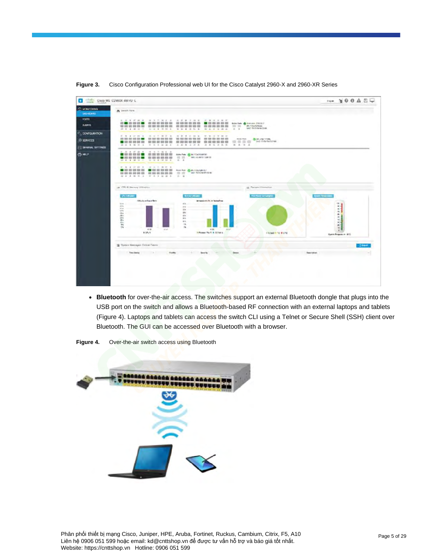

Figure 3. Cisco Configuration Professional web UI for the Cisco Catalyst 2960-X and 2960-XR Series

● **Bluetooth** for over-the-air access. The switches support an external Bluetooth dongle that plugs into the USB port on the switch and allows a Bluetooth-based RF connection with an external laptops and tablets (Figure 4). Laptops and tablets can access the switch CLI using a Telnet or Secure Shell (SSH) client over Bluetooth. The GUI can be accessed over Bluetooth with a browser.



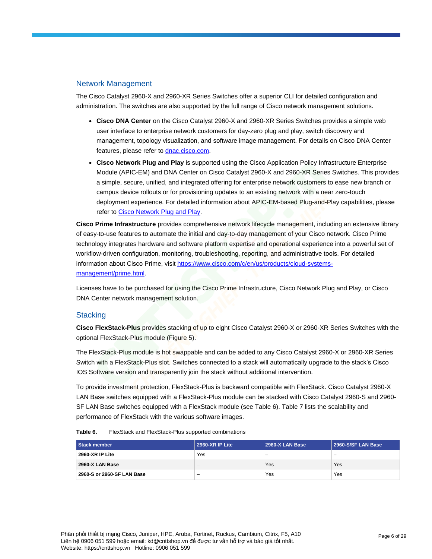## Network Management

The Cisco Catalyst 2960-X and 2960-XR Series Switches offer a superior CLI for detailed configuration and administration. The switches are also supported by the full range of Cisco network management solutions.

- **Cisco DNA Center** on the Cisco Catalyst 2960-X and 2960-XR Series Switches provides a simple web user interface to enterprise network customers for day-zero plug and play, switch discovery and management, topology visualization, and software image management. For details on Cisco DNA Center features, please refer to [dnac.cisco.com.](http://dnac.cisco.com/)
- **Cisco Network Plug and Play** is supported using the Cisco Application Policy Infrastructure Enterprise Module (APIC-EM) and DNA Center on Cisco Catalyst 2960-X and 2960-XR Series Switches. This provides a simple, secure, unified, and integrated offering for enterprise network customers to ease new branch or campus device rollouts or for provisioning updates to an existing network with a near zero-touch deployment experience. For detailed information about APIC-EM-based Plug-and-Play capabilities, please refer to [Cisco Network Plug and Play.](https://www.cisco.com/c/en/us/td/docs/solutions/Enterprise/Plug-and-Play/software/guide/pnp_apic_em_config_guide/pnp_apic_em_config_guide_chapter_01.html)

**Cisco Prime Infrastructure** provides comprehensive network lifecycle management, including an extensive library of easy-to-use features to automate the initial and day-to-day management of your Cisco network. Cisco Prime technology integrates hardware and software platform expertise and operational experience into a powerful set of workflow-driven configuration, monitoring, troubleshooting, reporting, and administrative tools. For detailed information about Cisco Prime, visit [https://www.cisco.com/c/en/us/products/cloud-systems](https://www.cisco.com/c/en/us/products/cloud-systems-management/prime.html)[management/prime.html.](https://www.cisco.com/c/en/us/products/cloud-systems-management/prime.html)

Licenses have to be purchased for using the Cisco Prime Infrastructure, Cisco Network Plug and Play, or Cisco DNA Center network management solution.

## **Stacking**

**Cisco FlexStack-Plus** provides stacking of up to eight Cisco Catalyst 2960-X or 2960-XR Series Switches with the optional FlexStack-Plus module (Figure 5).

The FlexStack-Plus module is hot swappable and can be added to any Cisco Catalyst 2960-X or 2960-XR Series Switch with a FlexStack-Plus slot. Switches connected to a stack will automatically upgrade to the stack's Cisco IOS Software version and transparently join the stack without additional intervention.

To provide investment protection, FlexStack-Plus is backward compatible with FlexStack. Cisco Catalyst 2960-X LAN Base switches equipped with a FlexStack-Plus module can be stacked with Cisco Catalyst 2960-S and 2960- SF LAN Base switches equipped with a FlexStack module (see Table 6). Table 7 lists the scalability and performance of FlexStack with the various software images.

| Table 6. | FlexStack and FlexStack-Plus supported combinations |
|----------|-----------------------------------------------------|
|----------|-----------------------------------------------------|

| <b>Stack member</b>        | 2960-XR IP Lite | 2960-X LAN Base          | 2960-S/SF LAN Base       |
|----------------------------|-----------------|--------------------------|--------------------------|
| 2960-XR IP Lite            | Yes             | $\overline{\phantom{0}}$ | $\overline{\phantom{0}}$ |
| 2960-X LAN Base            | -               | Yes                      | Yes                      |
| 2960-S or 2960-SF LAN Base | -               | Yes                      | Yes                      |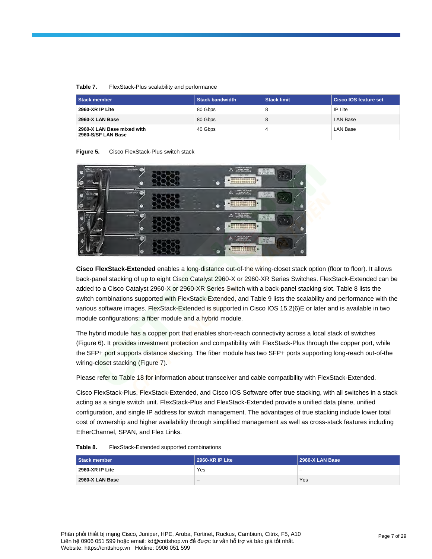### **Table 7.** FlexStack-Plus scalability and performance

| <b>Stack member</b>                              | <b>Stack bandwidth</b> | <b>Stack limit</b> | ∣ Cisco IOS feature set i |
|--------------------------------------------------|------------------------|--------------------|---------------------------|
| <b>2960-XR IP Lite</b>                           | 80 Gbps                | 8                  | IP Lite                   |
| 2960-X LAN Base                                  | 80 Gbps                | 8                  | LAN Base                  |
| 2960-X LAN Base mixed with<br>2960-S/SF LAN Base | 40 Gbps                | 4                  | LAN Base                  |

**Figure 5.** Cisco FlexStack-Plus switch stack

| athaba<br><b>CISCO</b><br>W.<br><b>ITIES</b><br>fon | CHOCKEROL<br>œ             |   | -<br>DO BRUTI PLA BRATA<br>- POWER SURVAY<br>- SPECIFIED IN MARCHE<br><b>JAK! OVO</b><br>Δ<br>100-2474<br>1.5-2.8% 59.8 (1)<br>US20MBER<br>お世世世世<br><b>UODESCEDENT</b><br>$\mathbb{R}$ |
|-----------------------------------------------------|----------------------------|---|----------------------------------------------------------------------------------------------------------------------------------------------------------------------------------------|
| $\frac{1}{\cos \theta}$<br><b>THANK</b>             | commission<br>w<br>69      |   | DC MINUTE FOR REAGER<br><b><i>POLITICAL</i></b><br>△<br>218130-870<br><b>ALWESTER</b><br>3000<br>むりはだなり自由な状態                                                                           |
| 65.                                                 | creativenes.<br>76<br>Ð    |   | SC REUSE SURES<br>$100 - 100$<br>Δ<br><b>CREWA ROOMED</b><br><b>ELECTRIC</b><br>出版の安島馬空野路                                                                                              |
|                                                     | <b>CADILIAN</b><br>69<br>œ | ۵ | OC SWOTS HOK HUMOS<br>81152.750<br>FOMILSURE:<br>Δ<br>100-2480<br><b>HICFES IN MAKIN</b><br>$-18.30636$<br><b>STANDARD AVENUE</b><br>自由动作自由热带标题<br>Ω                                   |

**Cisco FlexStack-Extended** enables a long-distance out-of-the wiring-closet stack option (floor to floor). It allows back-panel stacking of up to eight Cisco Catalyst 2960-X or 2960-XR Series Switches. FlexStack-Extended can be added to a Cisco Catalyst 2960-X or 2960-XR Series Switch with a back-panel stacking slot. Table 8 lists the switch combinations supported with FlexStack-Extended, and Table 9 lists the scalability and performance with the various software images. FlexStack-Extended is supported in Cisco IOS 15.2(6)E or later and is available in two module configurations: a fiber module and a hybrid module.

The hybrid module has a copper port that enables short-reach connectivity across a local stack of switches (Figure 6). It provides investment protection and compatibility with FlexStack-Plus through the copper port, while the SFP+ port supports distance stacking. The fiber module has two SFP+ ports supporting long-reach out-of-the wiring-closet stacking (Figure 7).

Please refer to Table 18 for information about transceiver and cable compatibility with FlexStack-Extended.

Cisco FlexStack-Plus, FlexStack-Extended, and Cisco IOS Software offer true stacking, with all switches in a stack acting as a single switch unit. FlexStack-Plus and FlexStack-Extended provide a unified data plane, unified configuration, and single IP address for switch management. The advantages of true stacking include lower total cost of ownership and higher availability through simplified management as well as cross-stack features including EtherChannel, SPAN, and Flex Links.

| Stack member    | 2960-XR IP Lite | 2960-X LAN Base |
|-----------------|-----------------|-----------------|
| 2960-XR IP Lite | Yes             | -               |
| 2960-X LAN Base |                 | Yes             |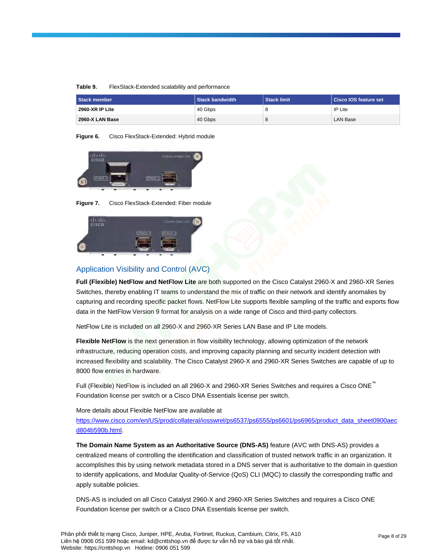| Table 9. | FlexStack-Extended scalability and performance |  |
|----------|------------------------------------------------|--|
|----------|------------------------------------------------|--|

| <b>Stack member</b> | <b>Stack bandwidth</b> | <b>Stack limit</b> | <b>Cisco IOS feature set</b> |
|---------------------|------------------------|--------------------|------------------------------|
| 2960-XR IP Lite     | 40 Gbps                | 8                  | IP Lite                      |
| 2960-X LAN Base     | 40 Gbps                | 8                  | <b>LAN Base</b>              |

**Figure 6.** Cisco FlexStack-Extended: Hybrid module



**Figure 7.** Cisco FlexStack-Extended: Fiber module



# Application Visibility and Control (AVC)

**Full (Flexible) NetFlow and NetFlow Lite** are both supported on the Cisco Catalyst 2960-X and 2960-XR Series Switches, thereby enabling IT teams to understand the mix of traffic on their network and identify anomalies by capturing and recording specific packet flows. NetFlow Lite supports flexible sampling of the traffic and exports flow data in the NetFlow Version 9 format for analysis on a wide range of Cisco and third-party collectors.

NetFlow Lite is included on all 2960-X and 2960-XR Series LAN Base and IP Lite models.

**Flexible NetFlow** is the next generation in flow visibility technology, allowing optimization of the network infrastructure, reducing operation costs, and improving capacity planning and security incident detection with increased flexibility and scalability. The Cisco Catalyst 2960-X and 2960-XR Series Switches are capable of up to 8000 flow entries in hardware.

Full (Flexible) NetFlow is included on all 2960-X and 2960-XR Series Switches and requires a Cisco ONE™ Foundation license per switch or a Cisco DNA Essentials license per switch.

## More details about Flexible NetFlow are available at

https://www.cisco.com/en/US/prod/collateral/iosswrel/ps6537/ps6555/ps6601/ps6965/product\_data\_sheet0900aec [d804b590b.html.](https://www.cisco.com/en/US/prod/collateral/iosswrel/ps6537/ps6555/ps6601/ps6965/product_data_sheet0900aec%20d804b590b.html)

**The Domain Name System as an Authoritative Source (DNS-AS)** feature (AVC with DNS-AS) provides a centralized means of controlling the identification and classification of trusted network traffic in an organization. It accomplishes this by using network metadata stored in a DNS server that is authoritative to the domain in question to identify applications, and Modular Quality-of-Service (QoS) CLI (MQC) to classify the corresponding traffic and apply suitable policies.

DNS-AS is included on all Cisco Catalyst 2960-X and 2960-XR Series Switches and requires a Cisco ONE Foundation license per switch or a Cisco DNA Essentials license per switch.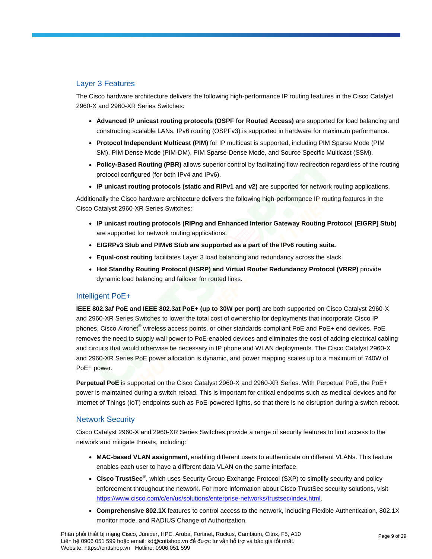# Layer 3 Features

The Cisco hardware architecture delivers the following high-performance IP routing features in the Cisco Catalyst 2960-X and 2960-XR Series Switches:

- **Advanced IP unicast routing protocols (OSPF for Routed Access)** are supported for load balancing and constructing scalable LANs. IPv6 routing (OSPFv3) is supported in hardware for maximum performance.
- **Protocol Independent Multicast (PIM)** for IP multicast is supported, including PIM Sparse Mode (PIM SM), PIM Dense Mode (PIM-DM), PIM Sparse-Dense Mode, and Source Specific Multicast (SSM).
- **Policy-Based Routing (PBR)** allows superior control by facilitating flow redirection regardless of the routing protocol configured (for both IPv4 and IPv6).
- **IP unicast routing protocols (static and RIPv1 and v2)** are supported for network routing applications.

Additionally the Cisco hardware architecture delivers the following high-performance IP routing features in the Cisco Catalyst 2960-XR Series Switches:

- **IP unicast routing protocols (RIPng and Enhanced Interior Gateway Routing Protocol [EIGRP] Stub)** are supported for network routing applications.
- **EIGRPv3 Stub and PIMv6 Stub are supported as a part of the IPv6 routing suite.**
- **Equal-cost routing** facilitates Layer 3 load balancing and redundancy across the stack.
- **Hot Standby Routing Protocol (HSRP) and Virtual Router Redundancy Protocol (VRRP)** provide dynamic load balancing and failover for routed links.

# Intelligent PoE+

**IEEE 802.3af PoE and IEEE 802.3at PoE+ (up to 30W per port)** are both supported on Cisco Catalyst 2960-X and 2960-XR Series Switches to lower the total cost of ownership for deployments that incorporate Cisco IP phones, Cisco Aironet® wireless access points, or other standards-compliant PoE and PoE+ end devices. PoE removes the need to supply wall power to PoE-enabled devices and eliminates the cost of adding electrical cabling and circuits that would otherwise be necessary in IP phone and WLAN deployments. The Cisco Catalyst 2960-X and 2960-XR Series PoE power allocation is dynamic, and power mapping scales up to a maximum of 740W of PoE+ power.

**Perpetual PoE** is supported on the Cisco Catalyst 2960-X and 2960-XR Series. With Perpetual PoE, the PoE+ power is maintained during a switch reload. This is important for critical endpoints such as medical devices and for Internet of Things (IoT) endpoints such as PoE-powered lights, so that there is no disruption during a switch reboot.

## Network Security

Cisco Catalyst 2960-X and 2960-XR Series Switches provide a range of security features to limit access to the network and mitigate threats, including:

- **MAC-based VLAN assignment,** enabling different users to authenticate on different VLANs. This feature enables each user to have a different data VLAN on the same interface.
- **Cisco TrustSec**® , which uses Security Group Exchange Protocol (SXP) to simplify security and policy enforcement throughout the network. For more information about Cisco TrustSec security solutions, visit [https://www.cisco.com/c/en/us/solutions/enterprise-networks/trustsec/index.html.](https://www.cisco.com/c/en/us/solutions/enterprise-networks/trustsec/index.html)
- **Comprehensive 802.1X** features to control access to the network, including Flexible Authentication, 802.1X monitor mode, and RADIUS Change of Authorization.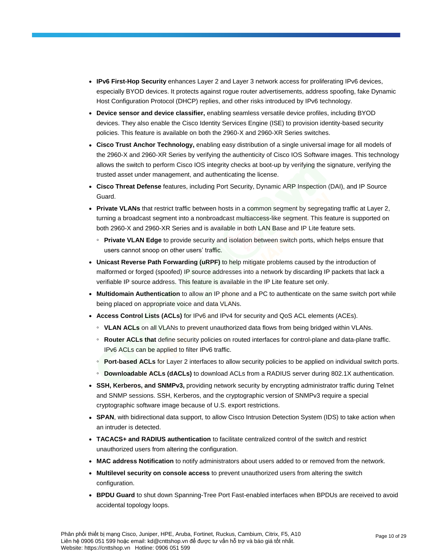- **IPv6 First-Hop Security** enhances Layer 2 and Layer 3 network access for proliferating IPv6 devices, especially BYOD devices. It protects against rogue router advertisements, address spoofing, fake Dynamic Host Configuration Protocol (DHCP) replies, and other risks introduced by IPv6 technology.
- **Device sensor and device classifier,** enabling seamless versatile device profiles, including BYOD devices. They also enable the Cisco Identity Services Engine (ISE) to provision identity-based security policies. This feature is available on both the 2960-X and 2960-XR Series switches.
- **Cisco Trust Anchor Technology,** enabling easy distribution of a single universal image for all models of the 2960-X and 2960-XR Series by verifying the authenticity of Cisco IOS Software images. This technology allows the switch to perform Cisco IOS integrity checks at boot-up by verifying the signature, verifying the trusted asset under management, and authenticating the license.
- **Cisco Threat Defense** features, including Port Security, Dynamic ARP Inspection (DAI), and IP Source Guard.
- **Private VLANs** that restrict traffic between hosts in a common segment by segregating traffic at Layer 2, turning a broadcast segment into a nonbroadcast multiaccess-like segment. This feature is supported on both 2960-X and 2960-XR Series and is available in both LAN Base and IP Lite feature sets.
	- **Private VLAN Edge** to provide security and isolation between switch ports, which helps ensure that users cannot snoop on other users' traffic.
- **Unicast Reverse Path Forwarding (uRPF)** to help mitigate problems caused by the introduction of malformed or forged (spoofed) IP source addresses into a network by discarding IP packets that lack a verifiable IP source address. This feature is available in the IP Lite feature set only.
- **Multidomain Authentication** to allow an IP phone and a PC to authenticate on the same switch port while being placed on appropriate voice and data VLANs.
- **Access Control Lists (ACLs)** for IPv6 and IPv4 for security and QoS ACL elements (ACEs).
	- **VLAN ACLs** on all VLANs to prevent unauthorized data flows from being bridged within VLANs.
	- **Router ACLs that** define security policies on routed interfaces for control-plane and data-plane traffic. IPv6 ACLs can be applied to filter IPv6 traffic.
	- **Port-based ACLs** for Layer 2 interfaces to allow security policies to be applied on individual switch ports.
	- **Downloadable ACLs (dACLs)** to download ACLs from a RADIUS server during 802.1X authentication.
- **SSH, Kerberos, and SNMPv3,** providing network security by encrypting administrator traffic during Telnet and SNMP sessions. SSH, Kerberos, and the cryptographic version of SNMPv3 require a special cryptographic software image because of U.S. export restrictions.
- **SPAN**, with bidirectional data support, to allow Cisco Intrusion Detection System (IDS) to take action when an intruder is detected.
- **TACACS+ and RADIUS authentication** to facilitate centralized control of the switch and restrict unauthorized users from altering the configuration.
- **MAC address Notification** to notify administrators about users added to or removed from the network.
- **Multilevel security on console access** to prevent unauthorized users from altering the switch configuration.
- **BPDU Guard** to shut down Spanning-Tree Port Fast-enabled interfaces when BPDUs are received to avoid accidental topology loops.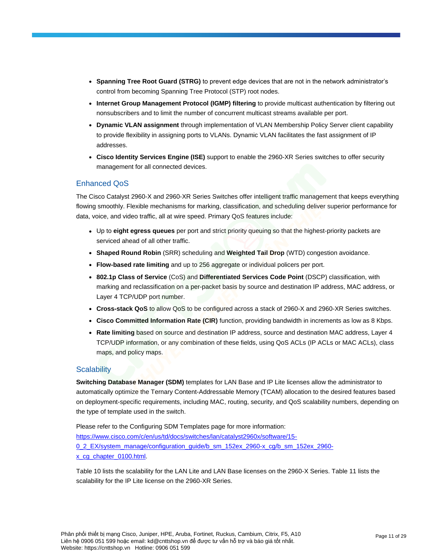- **Spanning Tree Root Guard (STRG)** to prevent edge devices that are not in the network administrator's control from becoming Spanning Tree Protocol (STP) root nodes.
- **Internet Group Management Protocol (IGMP) filtering** to provide multicast authentication by filtering out nonsubscribers and to limit the number of concurrent multicast streams available per port.
- **Dynamic VLAN assignment** through implementation of VLAN Membership Policy Server client capability to provide flexibility in assigning ports to VLANs. Dynamic VLAN facilitates the fast assignment of IP addresses.
- **Cisco Identity Services Engine (ISE)** support to enable the 2960-XR Series switches to offer security management for all connected devices.

# Enhanced QoS

The Cisco Catalyst 2960-X and 2960-XR Series Switches offer intelligent traffic management that keeps everything flowing smoothly. Flexible mechanisms for marking, classification, and scheduling deliver superior performance for data, voice, and video traffic, all at wire speed. Primary QoS features include:

- Up to **eight egress queues** per port and strict priority queuing so that the highest-priority packets are serviced ahead of all other traffic.
- **Shaped Round Robin** (SRR) scheduling and **Weighted Tail Drop** (WTD) congestion avoidance.
- **Flow-based rate limiting** and up to 256 aggregate or individual policers per port.
- **802.1p Class of Service** (CoS) and **Differentiated Services Code Point** (DSCP) classification, with marking and reclassification on a per-packet basis by source and destination IP address, MAC address, or Layer 4 TCP/UDP port number.
- **Cross-stack QoS** to allow QoS to be configured across a stack of 2960-X and 2960-XR Series switches.
- **Cisco Committed Information Rate (CIR)** function, providing bandwidth in increments as low as 8 Kbps.
- **Rate limiting** based on source and destination IP address, source and destination MAC address, Layer 4 TCP/UDP information, or any combination of these fields, using QoS ACLs (IP ACLs or MAC ACLs), class maps, and policy maps.

## **Scalability**

**Switching Database Manager (SDM)** templates for LAN Base and IP Lite licenses allow the administrator to automatically optimize the Ternary Content-Addressable Memory (TCAM) allocation to the desired features based on deployment-specific requirements, including MAC, routing, security, and QoS scalability numbers, depending on the type of template used in the switch.

Please refer to the Configuring SDM Templates page for more information: [https://www.cisco.com/c/en/us/td/docs/switches/lan/catalyst2960x/software/15-](https://www.cisco.com/c/en/us/td/docs/switches/lan/catalyst2960x/software/15-0_2_EX/system_manage/configuration_guide/b_sm_152ex_2960-x_cg/b_sm_152ex_2960-x_cg_chapter_0100.html) [0\\_2\\_EX/system\\_manage/configuration\\_guide/b\\_sm\\_152ex\\_2960-x\\_cg/b\\_sm\\_152ex\\_2960](https://www.cisco.com/c/en/us/td/docs/switches/lan/catalyst2960x/software/15-0_2_EX/system_manage/configuration_guide/b_sm_152ex_2960-x_cg/b_sm_152ex_2960-x_cg_chapter_0100.html) [x\\_cg\\_chapter\\_0100.html.](https://www.cisco.com/c/en/us/td/docs/switches/lan/catalyst2960x/software/15-0_2_EX/system_manage/configuration_guide/b_sm_152ex_2960-x_cg/b_sm_152ex_2960-x_cg_chapter_0100.html)

Table 10 lists the scalability for the LAN Lite and LAN Base licenses on the 2960-X Series. Table 11 lists the scalability for the IP Lite license on the 2960-XR Series.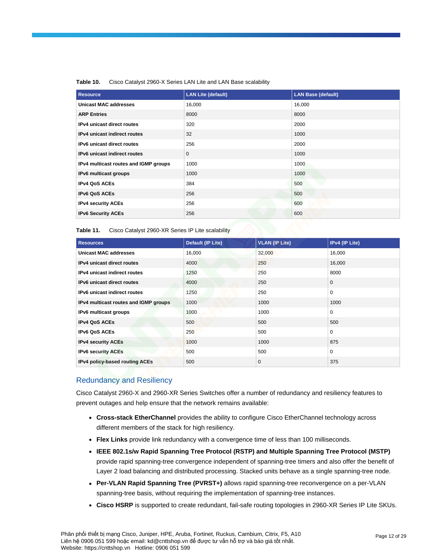| <b>Resource</b>                       | <b>LAN Lite (default)</b> | <b>LAN Base (default)</b> |
|---------------------------------------|---------------------------|---------------------------|
| <b>Unicast MAC addresses</b>          | 16,000                    | 16,000                    |
| <b>ARP Entries</b>                    | 8000                      | 8000                      |
| IPv4 unicast direct routes            | 320                       | 2000                      |
| IPv4 unicast indirect routes          | 32                        | 1000                      |
| <b>IPv6</b> unicast direct routes     | 256                       | 2000                      |
| IPv6 unicast indirect routes          | $\mathbf{0}$              | 1000                      |
| IPv4 multicast routes and IGMP groups | 1000                      | 1000                      |
| IPv6 multicast groups                 | 1000                      | 1000                      |
| <b>IPv4 QoS ACEs</b>                  | 384                       | 500                       |
| <b>IPv6 QoS ACEs</b>                  | 256                       | 500                       |
| <b>IPv4 security ACEs</b>             | 256                       | 600                       |
| <b>IPv6 Security ACEs</b>             | 256                       | 600                       |

## **Table 10.** Cisco Catalyst 2960-X Series LAN Lite and LAN Base scalability

**Table 11.** Cisco Catalyst 2960-XR Series IP Lite scalability

| <b>Resources</b>                      | <b>Default (IP Lite)</b> | <b>VLAN (IP Lite)</b> | IPv4 (IP Lite) |
|---------------------------------------|--------------------------|-----------------------|----------------|
| <b>Unicast MAC addresses</b>          | 16,000                   | 32,000                | 16,000         |
| IPv4 unicast direct routes            | 4000                     | 250                   | 16,000         |
| <b>IPv4</b> unicast indirect routes   | 1250                     | 250                   | 8000           |
| <b>IPv6</b> unicast direct routes     | 4000                     | 250                   | $\mathbf{0}$   |
| IPv6 unicast indirect routes          | 1250                     | 250                   | 0              |
| IPv4 multicast routes and IGMP groups | 1000                     | 1000                  | 1000           |
| IPv6 multicast groups                 | 1000                     | 1000                  | 0              |
| <b>IPv4 QoS ACEs</b>                  | 500                      | 500                   | 500            |
| <b>IPv6 QoS ACEs</b>                  | 250                      | 500                   | 0              |
| <b>IPv4 security ACEs</b>             | 1000                     | 1000                  | 875            |
| <b>IPv6 security ACEs</b>             | 500                      | 500                   | 0              |
| IPv4 policy-based routing ACEs        | 500                      | $\mathbf 0$           | 375            |

# Redundancy and Resiliency

Cisco Catalyst 2960-X and 2960-XR Series Switches offer a number of redundancy and resiliency features to prevent outages and help ensure that the network remains available:

- **Cross-stack EtherChannel** provides the ability to configure Cisco EtherChannel technology across different members of the stack for high resiliency.
- **Flex Links** provide link redundancy with a convergence time of less than 100 milliseconds.
- **IEEE 802.1s/w Rapid Spanning Tree Protocol (RSTP) and Multiple Spanning Tree Protocol (MSTP)** provide rapid spanning-tree convergence independent of spanning-tree timers and also offer the benefit of Layer 2 load balancing and distributed processing. Stacked units behave as a single spanning-tree node.
- **Per-VLAN Rapid Spanning Tree (PVRST+)** allows rapid spanning-tree reconvergence on a per-VLAN spanning-tree basis, without requiring the implementation of spanning-tree instances.
- **Cisco HSRP** is supported to create redundant, fail-safe routing topologies in 2960-XR Series IP Lite SKUs.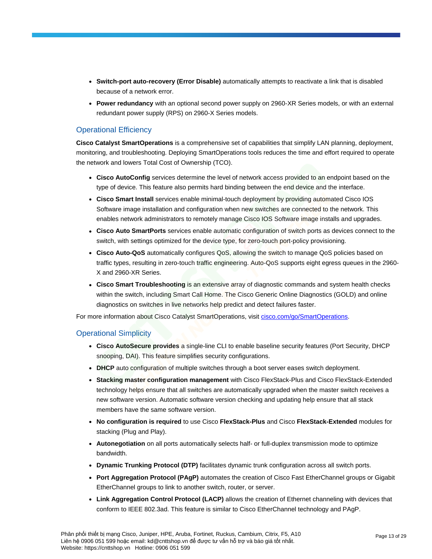- **Switch-port auto-recovery (Error Disable)** automatically attempts to reactivate a link that is disabled because of a network error.
- **Power redundancy** with an optional second power supply on 2960-XR Series models, or with an external redundant power supply (RPS) on 2960-X Series models.

# Operational Efficiency

**Cisco Catalyst SmartOperations** is a comprehensive set of capabilities that simplify LAN planning, deployment, monitoring, and troubleshooting. Deploying SmartOperations tools reduces the time and effort required to operate the network and lowers Total Cost of Ownership (TCO).

- **Cisco AutoConfig** services determine the level of network access provided to an endpoint based on the type of device. This feature also permits hard binding between the end device and the interface.
- **Cisco Smart Install** services enable minimal-touch deployment by providing automated Cisco IOS Software image installation and configuration when new switches are connected to the network. This enables network administrators to remotely manage Cisco IOS Software image installs and upgrades.
- **Cisco Auto SmartPorts** services enable automatic configuration of switch ports as devices connect to the switch, with settings optimized for the device type, for zero-touch port-policy provisioning.
- **Cisco Auto-QoS** automatically configures QoS, allowing the switch to manage QoS policies based on traffic types, resulting in zero-touch traffic engineering. Auto-QoS supports eight egress queues in the 2960- X and 2960-XR Series.
- **Cisco Smart Troubleshooting** is an extensive array of diagnostic commands and system health checks within the switch, including Smart Call Home. The Cisco Generic Online Diagnostics (GOLD) and online diagnostics on switches in live networks help predict and detect failures faster.

For more information about Cisco Catalyst SmartOperations, visit [cisco.com/go/SmartOperations.](https://www.cisco.com/go/smartoperations)

# Operational Simplicity

- **Cisco AutoSecure provides** a single-line CLI to enable baseline security features (Port Security, DHCP snooping, DAI). This feature simplifies security configurations.
- **DHCP** auto configuration of multiple switches through a boot server eases switch deployment.
- **Stacking master configuration management** with Cisco FlexStack-Plus and Cisco FlexStack-Extended technology helps ensure that all switches are automatically upgraded when the master switch receives a new software version. Automatic software version checking and updating help ensure that all stack members have the same software version.
- **No configuration is required** to use Cisco **FlexStack-Plus** and Cisco **FlexStack-Extended** modules for stacking (Plug and Play).
- **Autonegotiation** on all ports automatically selects half- or full-duplex transmission mode to optimize bandwidth.
- **Dynamic Trunking Protocol (DTP)** facilitates dynamic trunk configuration across all switch ports.
- **Port Aggregation Protocol (PAgP)** automates the creation of Cisco Fast EtherChannel groups or Gigabit EtherChannel groups to link to another switch, router, or server.
- **Link Aggregation Control Protocol (LACP)** allows the creation of Ethernet channeling with devices that conform to IEEE 802.3ad. This feature is similar to Cisco EtherChannel technology and PAgP.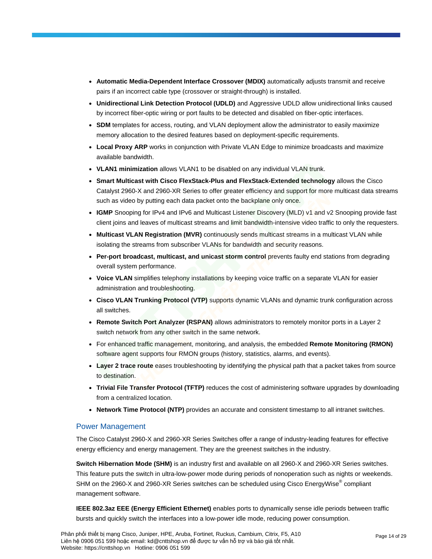- **Automatic Media-Dependent Interface Crossover (MDIX)** automatically adjusts transmit and receive pairs if an incorrect cable type (crossover or straight-through) is installed.
- **Unidirectional Link Detection Protocol (UDLD)** and Aggressive UDLD allow unidirectional links caused by incorrect fiber-optic wiring or port faults to be detected and disabled on fiber-optic interfaces.
- **SDM** templates for access, routing, and VLAN deployment allow the administrator to easily maximize memory allocation to the desired features based on deployment-specific requirements.
- Local Proxy ARP works in conjunction with Private VLAN Edge to minimize broadcasts and maximize available bandwidth.
- **VLAN1 minimization** allows VLAN1 to be disabled on any individual VLAN trunk.
- **Smart Multicast with Cisco FlexStack-Plus and FlexStack-Extended technology** allows the Cisco Catalyst 2960-X and 2960-XR Series to offer greater efficiency and support for more multicast data streams such as video by putting each data packet onto the backplane only once.
- **IGMP** Snooping for IPv4 and IPv6 and Multicast Listener Discovery (MLD) v1 and v2 Snooping provide fast client joins and leaves of multicast streams and limit bandwidth-intensive video traffic to only the requesters.
- **Multicast VLAN Registration (MVR)** continuously sends multicast streams in a multicast VLAN while isolating the streams from subscriber VLANs for bandwidth and security reasons.
- **Per-port broadcast, multicast, and unicast storm control** prevents faulty end stations from degrading overall system performance.
- **Voice VLAN** simplifies telephony installations by keeping voice traffic on a separate VLAN for easier administration and troubleshooting.
- **Cisco VLAN Trunking Protocol (VTP)** supports dynamic VLANs and dynamic trunk configuration across all switches.
- **Remote Switch Port Analyzer (RSPAN)** allows administrators to remotely monitor ports in a Layer 2 switch network from any other switch in the same network.
- For enhanced traffic management, monitoring, and analysis, the embedded **Remote Monitoring (RMON)** software agent supports four RMON groups (history, statistics, alarms, and events).
- **Layer 2 trace route** eases troubleshooting by identifying the physical path that a packet takes from source to destination.
- **Trivial File Transfer Protocol (TFTP)** reduces the cost of administering software upgrades by downloading from a centralized location.
- **Network Time Protocol (NTP)** provides an accurate and consistent timestamp to all intranet switches.

# Power Management

The Cisco Catalyst 2960-X and 2960-XR Series Switches offer a range of industry-leading features for effective energy efficiency and energy management. They are the greenest switches in the industry.

**Switch Hibernation Mode (SHM)** is an industry first and available on all 2960-X and 2960-XR Series switches. This feature puts the switch in ultra-low-power mode during periods of nonoperation such as nights or weekends. SHM on the 2960-X and 2960-XR Series switches can be scheduled using Cisco EnergyWise $^\circ$  compliant management software.

**IEEE 802.3az EEE (Energy Efficient Ethernet)** enables ports to dynamically sense idle periods between traffic bursts and quickly switch the interfaces into a low-power idle mode, reducing power consumption.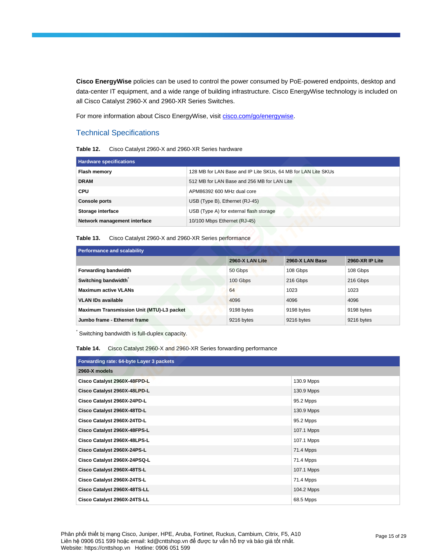**Cisco EnergyWise** policies can be used to control the power consumed by PoE-powered endpoints, desktop and data-center IT equipment, and a wide range of building infrastructure. Cisco EnergyWise technology is included on all Cisco Catalyst 2960-X and 2960-XR Series Switches.

For more information about Cisco EnergyWise, visi[t cisco.com/go/energywise.](https://www.cisco.com/go/energywise)

# Technical Specifications

**Table 12.** Cisco Catalyst 2960-X and 2960-XR Series hardware

| <b>Hardware specifications</b> |                                                               |
|--------------------------------|---------------------------------------------------------------|
| <b>Flash memory</b>            | 128 MB for LAN Base and IP Lite SKUs, 64 MB for LAN Lite SKUs |
| <b>DRAM</b>                    | 512 MB for LAN Base and 256 MB for LAN Lite                   |
| <b>CPU</b>                     | APM86392 600 MHz dual core                                    |
| <b>Console ports</b>           | USB (Type B), Ethernet (RJ-45)                                |
| Storage interface              | USB (Type A) for external flash storage                       |
| Network management interface   | 10/100 Mbps Ethernet (RJ-45)                                  |

**Table 13.** Cisco Catalyst 2960-X and 2960-XR Series performance

| Performance and scalability               |                 |                 |                 |  |
|-------------------------------------------|-----------------|-----------------|-----------------|--|
|                                           | 2960-X LAN Lite | 2960-X LAN Base | 2960-XR IP Lite |  |
| Forwarding bandwidth                      | 50 Gbps         | 108 Gbps        | 108 Gbps        |  |
| Switching bandwidth                       | 100 Gbps        | 216 Gbps        | 216 Gbps        |  |
| <b>Maximum active VLANs</b>               | 64              | 1023            | 1023            |  |
| <b>VLAN IDs available</b>                 | 4096            | 4096            | 4096            |  |
| Maximum Transmission Unit (MTU)-L3 packet | 9198 bytes      | 9198 bytes      | 9198 bytes      |  |
| Jumbo frame - Ethernet frame              | 9216 bytes      | 9216 bytes      | 9216 bytes      |  |

\* Switching bandwidth is full-duplex capacity.

## **Table 14.** Cisco Catalyst 2960-X and 2960-XR Series forwarding performance

| Forwarding rate: 64-byte Layer 3 packets |            |  |
|------------------------------------------|------------|--|
| 2960-X models                            |            |  |
| Cisco Catalyst 2960X-48FPD-L             | 130.9 Mpps |  |
| Cisco Catalyst 2960X-48LPD-L             | 130.9 Mpps |  |
| Cisco Catalyst 2960X-24PD-L              | 95.2 Mpps  |  |
| Cisco Catalyst 2960X-48TD-L              | 130.9 Mpps |  |
| Cisco Catalyst 2960X-24TD-L              | 95.2 Mpps  |  |
| Cisco Catalyst 2960X-48FPS-L             | 107.1 Mpps |  |
| Cisco Catalyst 2960X-48LPS-L             | 107.1 Mpps |  |
| Cisco Catalyst 2960X-24PS-L              | 71.4 Mpps  |  |
| Cisco Catalyst 2960X-24PSQ-L             | 71.4 Mpps  |  |
| Cisco Catalyst 2960X-48TS-L              | 107.1 Mpps |  |
| Cisco Catalyst 2960X-24TS-L              | 71.4 Mpps  |  |
| Cisco Catalyst 2960X-48TS-LL             | 104.2 Mpps |  |
| Cisco Catalyst 2960X-24TS-LL             | 68.5 Mpps  |  |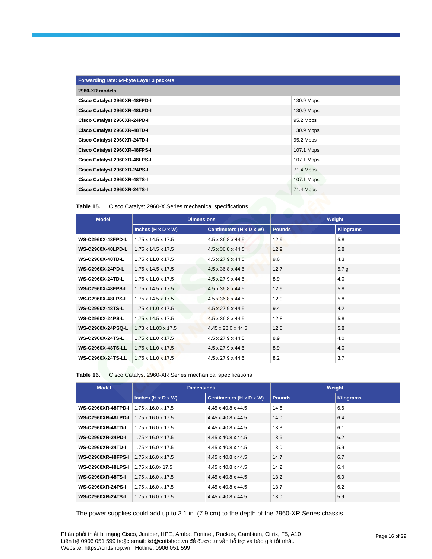| Forwarding rate: 64-byte Layer 3 packets |                  |  |
|------------------------------------------|------------------|--|
| 2960-XR models                           |                  |  |
| Cisco Catalyst 2960XR-48FPD-I            | 130.9 Mpps       |  |
| Cisco Catalyst 2960XR-48LPD-I            | 130.9 Mpps       |  |
| Cisco Catalyst 2960XR-24PD-I             | 95.2 Mpps        |  |
| Cisco Catalyst 2960XR-48TD-I             | 130.9 Mpps       |  |
| Cisco Catalyst 2960XR-24TD-I             | 95.2 Mpps        |  |
| Cisco Catalyst 2960XR-48FPS-I            | 107.1 Mpps       |  |
| Cisco Catalyst 2960XR-48LPS-I            | 107.1 Mpps       |  |
| Cisco Catalyst 2960XR-24PS-I             | 71.4 Mpps        |  |
| Cisco Catalyst 2960XR-48TS-I             | 107.1 Mpps       |  |
| Cisco Catalyst 2960XR-24TS-I             | <b>71.4 Mpps</b> |  |

| Table 15. | Cisco Catalyst 2960-X Series mechanical specifications |  |
|-----------|--------------------------------------------------------|--|
|-----------|--------------------------------------------------------|--|

| <b>Model</b>             | <b>Dimensions</b>               |                               | Weight        |                  |
|--------------------------|---------------------------------|-------------------------------|---------------|------------------|
|                          | Inches (H x D x W)              | Centimeters (H x D x W)       | <b>Pounds</b> | <b>Kilograms</b> |
| <b>WS-C2960X-48FPD-L</b> | $1.75 \times 14.5 \times 17.5$  | $4.5 \times 36.8 \times 44.5$ | 12.9          | 5.8              |
| <b>WS-C2960X-48LPD-L</b> | $1.75 \times 14.5 \times 17.5$  | $4.5 \times 36.8 \times 44.5$ | 12.9          | 5.8              |
| <b>WS-C2960X-48TD-L</b>  | $1.75 \times 11.0 \times 17.5$  | $4.5 \times 27.9 \times 44.5$ | 9.6           | 4.3              |
| <b>WS-C2960X-24PD-L</b>  | $1.75 \times 14.5 \times 17.5$  | $4.5 \times 36.8 \times 44.5$ | 12.7          | 5.7 <sub>q</sub> |
| <b>WS-C2960X-24TD-L</b>  | $1.75 \times 11.0 \times 17.5$  | $4.5 \times 27.9 \times 44.5$ | 8.9           | 4.0              |
| <b>WS-C2960X-48FPS-L</b> | $1.75 \times 14.5 \times 17.5$  | $4.5 \times 36.8 \times 44.5$ | 12.9          | 5.8              |
| <b>WS-C2960X-48LPS-L</b> | $1.75 \times 14.5 \times 17.5$  | $4.5 \times 36.8 \times 44.5$ | 12.9          | 5.8              |
| <b>WS-C2960X-48TS-L</b>  | $1.75 \times 11.0 \times 17.5$  | $4.5 \times 27.9 \times 44.5$ | 9.4           | 4.2              |
| WS-C2960X-24PS-L         | $1.75 \times 14.5 \times 17.5$  | $4.5 \times 36.8 \times 44.5$ | 12.8          | 5.8              |
| <b>WS-C2960X-24PSQ-L</b> | $1.73 \times 11.03 \times 17.5$ | 4.45 x 28.0 x 44.5            | 12.8          | 5.8              |
| <b>WS-C2960X-24TS-L</b>  | $1.75 \times 11.0 \times 17.5$  | $4.5 \times 27.9 \times 44.5$ | 8.9           | 4.0              |
| <b>WS-C2960X-48TS-LL</b> | $1.75 \times 11.0 \times 17.5$  | $4.5 \times 27.9 \times 44.5$ | 8.9           | 4.0              |
| <b>WS-C2960X-24TS-LL</b> | $1.75 \times 11.0 \times 17.5$  | $4.5 \times 27.9 \times 44.5$ | 8.2           | 3.7              |

| Table 16. | Cisco Catalyst 2960-XR Series mechanical specifications |  |  |
|-----------|---------------------------------------------------------|--|--|
|-----------|---------------------------------------------------------|--|--|

| <b>Model</b>              | <b>Dimensions</b>              |                         | Weight        |                  |
|---------------------------|--------------------------------|-------------------------|---------------|------------------|
|                           | Inches $(H \times D \times W)$ | Centimeters (H x D x W) | <b>Pounds</b> | <b>Kilograms</b> |
| <b>WS-C2960XR-48FPD-I</b> | $1.75 \times 16.0 \times 17.5$ | 4.45 x 40.8 x 44.5      | 14.6          | 6.6              |
| <b>WS-C2960XR-48LPD-I</b> | $1.75 \times 16.0 \times 17.5$ | 4.45 x 40.8 x 44.5      | 14.0          | 6.4              |
| <b>WS-C2960XR-48TD-I</b>  | $1.75 \times 16.0 \times 17.5$ | 4.45 x 40.8 x 44.5      | 13.3          | 6.1              |
| <b>WS-C2960XR-24PD-I</b>  | $1.75 \times 16.0 \times 17.5$ | 4.45 x 40.8 x 44.5      | 13.6          | 6.2              |
| <b>WS-C2960XR-24TD-I</b>  | $1.75 \times 16.0 \times 17.5$ | 4.45 x 40.8 x 44.5      | 13.0          | 5.9              |
| <b>WS-C2960XR-48FPS-I</b> | $1.75 \times 16.0 \times 17.5$ | 4.45 x 40.8 x 44.5      | 14.7          | 6.7              |
| <b>WS-C2960XR-48LPS-I</b> | 1.75 x 16.0x 17.5              | 4.45 x 40.8 x 44.5      | 14.2          | 6.4              |
| <b>WS-C2960XR-48TS-I</b>  | $1.75 \times 16.0 \times 17.5$ | 4.45 x 40.8 x 44.5      | 13.2          | 6.0              |
| <b>WS-C2960XR-24PS-I</b>  | $1.75 \times 16.0 \times 17.5$ | 4.45 x 40.8 x 44.5      | 13.7          | 6.2              |
| <b>WS-C2960XR-24TS-I</b>  | $1.75 \times 16.0 \times 17.5$ | 4.45 x 40.8 x 44.5      | 13.0          | 5.9              |

The power supplies could add up to 3.1 in. (7.9 cm) to the depth of the 2960-XR Series chassis.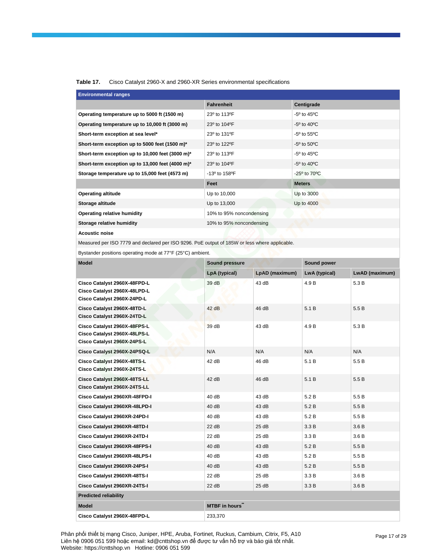## **Table 17.** Cisco Catalyst 2960-X and 2960-XR Series environmental specifications

| <b>Environmental ranges</b>                      |                                       |                                  |  |  |
|--------------------------------------------------|---------------------------------------|----------------------------------|--|--|
|                                                  | <b>Fahrenheit</b>                     | Centigrade                       |  |  |
| Operating temperature up to 5000 ft (1500 m)     | 23° to 113°F                          | $-5^{\circ}$ to 45 $^{\circ}$ C  |  |  |
| Operating temperature up to 10,000 ft (3000 m)   | 23° to 104°F                          | $-5^{\circ}$ to 40 $^{\circ}$ C  |  |  |
| Short-term exception at sea level*               | 23 <sup>°</sup> to 131 <sup>°</sup> F | $-5^{\circ}$ to $55^{\circ}$ C   |  |  |
| Short-term exception up to 5000 feet (1500 m)*   | 23° to 122°F                          | $-5^{\circ}$ to $50^{\circ}$ C   |  |  |
| Short-term exception up to 10,000 feet (3000 m)* | 23º to 113ºF                          | $-5^{\circ}$ to 45 $^{\circ}$ C  |  |  |
| Short-term exception up to 13,000 feet (4000 m)* | 23 <sup>°</sup> to 104 <sup>°</sup> F | $-5^{\circ}$ to 40 $^{\circ}$ C  |  |  |
| Storage temperature up to 15,000 feet (4573 m)   | $-13^{\circ}$ to 158 PF               | $-25^{\circ}$ to 70 $^{\circ}$ C |  |  |
|                                                  | Feet                                  | <b>Meters</b>                    |  |  |
| <b>Operating altitude</b>                        | Up to 10,000                          | Up to 3000                       |  |  |
| Storage altitude                                 | Up to 13,000                          | Up to 4000                       |  |  |
| <b>Operating relative humidity</b>               | 10% to 95% noncondensing              |                                  |  |  |
| Storage relative humidity                        | 10% to 95% noncondensing              |                                  |  |  |
| <b>Acoustic noise</b>                            |                                       |                                  |  |  |

Measured per ISO 7779 and declared per ISO 9296. PoE output of 185W or less where applicable.

Bystander positions operating mode at 77°F (25°C) ambient.

| <b>Model</b>                                                                                | <b>Sound pressure</b> |                | Sound power   |                |
|---------------------------------------------------------------------------------------------|-----------------------|----------------|---------------|----------------|
|                                                                                             | LpA (typical)         | LpAD (maximum) | LwA (typical) | LwAD (maximum) |
| Cisco Catalyst 2960X-48FPD-L<br>Cisco Catalyst 2960X-48LPD-L<br>Cisco Catalyst 2960X-24PD-L | 39 dB                 | 43 dB          | 4.9 B         | 5.3 B          |
| Cisco Catalyst 2960X-48TD-L<br>Cisco Catalyst 2960X-24TD-L                                  | 42dB                  | 46 dB          | 5.1B          | 5.5 B          |
| Cisco Catalyst 2960X-48FPS-L<br>Cisco Catalyst 2960X-48LPS-L<br>Cisco Catalyst 2960X-24PS-L | 39 dB                 | 43 dB          | 4.9 B         | 5.3 B          |
| Cisco Catalyst 2960X-24PSQ-L                                                                | N/A                   | N/A            | N/A           | N/A            |
| Cisco Catalyst 2960X-48TS-L<br>Cisco Catalyst 2960X-24TS-L                                  | 42 dB                 | 46 dB          | 5.1B          | 5.5 B          |
| Cisco Catalyst 2960X-48TS-LL<br>Cisco Catalyst 2960X-24TS-LL                                | 42 dB                 | 46 dB          | 5.1B          | 5.5 B          |
| Cisco Catalyst 2960XR-48FPD-I                                                               | 40dB                  | 43 dB          | 5.2B          | 5.5 B          |
| Cisco Catalyst 2960XR-48LPD-I                                                               | 40dB                  | 43 dB          | 5.2 B         | 5.5B           |
| Cisco Catalyst 2960XR-24PD-I                                                                | 40 dB                 | 43 dB          | 5.2B          | 5.5B           |
| Cisco Catalyst 2960XR-48TD-I                                                                | 22 dB                 | 25dB           | 3.3B          | 3.6B           |
| Cisco Catalyst 2960XR-24TD-I                                                                | 22 dB                 | 25dB           | 3.3B          | 3.6B           |
| Cisco Catalyst 2960XR-48FPS-I                                                               | 40dB                  | 43 dB          | 5.2B          | 5.5B           |
| Cisco Catalyst 2960XR-48LPS-I                                                               | 40dB                  | 43 dB          | 5.2B          | 5.5B           |
| Cisco Catalyst 2960XR-24PS-I                                                                | 40dB                  | 43 dB          | 5.2B          | 5.5 B          |
| Cisco Catalyst 2960XR-48TS-I                                                                | 22 dB                 | 25dB           | 3.3 B         | 3.6B           |
| Cisco Catalyst 2960XR-24TS-I                                                                | 22 dB                 | 25dB           | 3.3B          | 3.6B           |
| <b>Predicted reliability</b>                                                                |                       |                |               |                |
| <b>Model</b>                                                                                | <b>MTBF</b> in hours" |                |               |                |
| Cisco Catalvst 2960X-48FPD-L                                                                | 233,370               |                |               |                |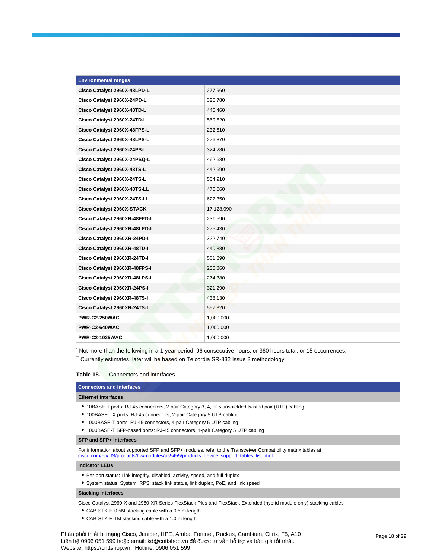| <b>Environmental ranges</b>   |            |
|-------------------------------|------------|
| Cisco Catalyst 2960X-48LPD-L  | 277,960    |
| Cisco Catalyst 2960X-24PD-L   | 325,780    |
| Cisco Catalyst 2960X-48TD-L   | 445,460    |
| Cisco Catalyst 2960X-24TD-L   | 569,520    |
| Cisco Catalyst 2960X-48FPS-L  | 232,610    |
| Cisco Catalyst 2960X-48LPS-L  | 276,870    |
| Cisco Catalyst 2960X-24PS-L   | 324,280    |
| Cisco Catalyst 2960X-24PSQ-L  | 462,680    |
| Cisco Catalyst 2960X-48TS-L   | 442,690    |
| Cisco Catalyst 2960X-24TS-L   | 564,910    |
| Cisco Catalyst 2960X-48TS-LL  | 476,560    |
| Cisco Catalyst 2960X-24TS-LL  | 622,350    |
| Cisco Catalyst 2960X-STACK    | 17,128,090 |
| Cisco Catalyst 2960XR-48FPD-I | 231,590    |
| Cisco Catalyst 2960XR-48LPD-I | 275,430    |
| Cisco Catalyst 2960XR-24PD-I  | 322,740    |
| Cisco Catalyst 2960XR-48TD-I  | 440,880    |
| Cisco Catalyst 2960XR-24TD-I  | 561,890    |
| Cisco Catalyst 2960XR-48FPS-I | 230,860    |
| Cisco Catalyst 2960XR-48LPS-I | 274,380    |
| Cisco Catalyst 2960XR-24PS-I  | 321,290    |
| Cisco Catalyst 2960XR-48TS-I  | 438,130    |
| Cisco Catalyst 2960XR-24TS-I  | 557,320    |
| PWR-C2-250WAC                 | 1,000,000  |
| PWR-C2-640WAC                 | 1,000,000  |
| <b>PWR-C2-1025WAC</b>         | 1,000,000  |

<sup>\*</sup> Not more than the following in a 1-year period: 96 consecutive hours, or 360 hours total, or 15 occurrences.

\* Currently estimates; later will be based on Telcordia SR-332 Issue 2 methodology.

## **Table 18.** Connectors and interfaces

| <b>Connectors and interfaces</b>                                                                                                                                                                                                                                                                                                    |
|-------------------------------------------------------------------------------------------------------------------------------------------------------------------------------------------------------------------------------------------------------------------------------------------------------------------------------------|
| <b>Ethernet interfaces</b>                                                                                                                                                                                                                                                                                                          |
| • 10BASE-T ports: RJ-45 connectors, 2-pair Category 3, 4, or 5 unshielded twisted pair (UTP) cabling<br>• 100BASE-TX ports: RJ-45 connectors, 2-pair Category 5 UTP cabling<br>• 1000BASE-T ports: RJ-45 connectors, 4-pair Category 5 UTP cabling<br>• 1000BASE-T SFP-based ports: RJ-45 connectors, 4-pair Category 5 UTP cabling |
| SFP and SFP+ interfaces                                                                                                                                                                                                                                                                                                             |
| For information about supported SFP and SFP+ modules, refer to the Transceiver Compatibility matrix tables at<br>cisco.com/en/US/products/hw/modules/ps5455/products device support tables list.html                                                                                                                                |
| <b>Indicator LEDs</b>                                                                                                                                                                                                                                                                                                               |
| • Per-port status: Link integrity, disabled, activity, speed, and full duplex<br>• System status: System, RPS, stack link status, link duplex, PoE, and link speed                                                                                                                                                                  |
| <b>Stacking interfaces</b>                                                                                                                                                                                                                                                                                                          |
| Cisco Catalyst 2960-X and 2960-XR Series FlexStack-Plus and FlexStack-Extended (hybrid module only) stacking cables:<br>• CAB-STK-E-0.5M stacking cable with a 0.5 m length                                                                                                                                                         |

- 
- CAB-STK-E-1M stacking cable with a 1.0 m length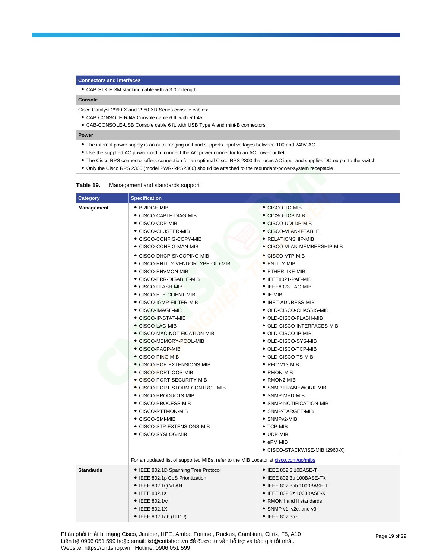#### **Connectors and interfaces**

● CAB-STK-E-3M stacking cable with a 3.0 m length

## **Console**

Cisco Catalyst 2960-X and 2960-XR Series console cables:

- CAB-CONSOLE-RJ45 Console cable 6 ft. with RJ-45
- CAB-CONSOLE-USB Console cable 6 ft. with USB Type A and mini-B connectors

#### **Power**

- The internal power supply is an auto-ranging unit and supports input voltages between 100 and 240V AC
- Use the supplied AC power cord to connect the AC power connector to an AC power outlet
- The Cisco RPS connector offers connection for an optional Cisco RPS 2300 that uses AC input and supplies DC output to the switch
- Only the Cisco RPS 2300 (model PWR-RPS2300) should be attached to the redundant-power-system receptacle

## **Table 19.** Management and standards support

| <b>Category</b>   | <b>Specification</b>                                                                                                                                                                                                                                                                                                                                                                                                                                                                                                                                                                                                                                                                                                                                                                                                                                                          |                                                                                                                                                                                                                                                                                                                                                                                                                                                                                                                                                                                                                                                                                                                                          |
|-------------------|-------------------------------------------------------------------------------------------------------------------------------------------------------------------------------------------------------------------------------------------------------------------------------------------------------------------------------------------------------------------------------------------------------------------------------------------------------------------------------------------------------------------------------------------------------------------------------------------------------------------------------------------------------------------------------------------------------------------------------------------------------------------------------------------------------------------------------------------------------------------------------|------------------------------------------------------------------------------------------------------------------------------------------------------------------------------------------------------------------------------------------------------------------------------------------------------------------------------------------------------------------------------------------------------------------------------------------------------------------------------------------------------------------------------------------------------------------------------------------------------------------------------------------------------------------------------------------------------------------------------------------|
| <b>Management</b> | • BRIDGE-MIB<br>● CISCO-CABLE-DIAG-MIB<br>• CISCO-CDP-MIB<br>● CISCO-CLUSTER-MIB<br>• CISCO-CONFIG-COPY-MIB<br>● CISCO-CONFIG-MAN-MIB<br>● CISCO-DHCP-SNOOPING-MIB<br>● CISCO-ENTITY-VENDORTYPE-OID-MIB<br>• CISCO-ENVMON-MIB<br>● CISCO-ERR-DISABLE-MIB<br>● CISCO-FLASH-MIB<br>• CISCO-FTP-CLIENT-MIB<br>• CISCO-IGMP-FILTER-MIB<br>● CISCO-IMAGE-MIB<br>• CISCO-IP-STAT-MIB<br>• CISCO-LAG-MIB<br>• CISCO-MAC-NOTIFICATION-MIB<br>● CISCO-MEMORY-POOL-MIB<br>● CISCO-PAGP-MIB<br>$\bullet$ CISCO-PING-MIB<br>$\bullet$ CISCO-POE-EXTENSIONS-MIB<br>• CISCO-PORT-QOS-MIB<br>• CISCO-PORT-SECURITY-MIB<br>• CISCO-PORT-STORM-CONTROL-MIB<br>• CISCO-PRODUCTS-MIB<br>● CISCO-PROCESS-MIB<br>• CISCO-RTTMON-MIB<br>• CISCO-SMI-MIB<br>• CISCO-STP-EXTENSIONS-MIB<br>● CISCO-SYSLOG-MIB<br>For an updated list of supported MIBs, refer to the MIB Locator at cisco.com/go/mibs | • CISCO-TC-MIB<br>• CICSO-TCP-MIB<br>• CISCO-UDLDP-MIB<br>• CISCO-VLAN-IFTABLE<br>• RELATIONSHIP-MIB<br>• CISCO-VLAN-MEMBERSHIP-MIB<br>• CISCO-VTP-MIB<br>• ENTITY-MIB<br>• ETHERLIKE-MIB<br>• IEEE8021-PAE-MIB<br>• IEEE8023-LAG-MIB<br>$\bullet$ IF-MIB<br>• INET-ADDRESS-MIB<br>• OLD-CISCO-CHASSIS-MIB<br>• OLD-CISCO-FLASH-MIB<br>• OLD-CISCO-INTERFACES-MIB<br>• OLD-CISCO-IP-MIB<br>● OLD-CISCO-SYS-MIB<br>● OLD-CISCO-TCP-MIB<br>$\bullet$ OLD-CISCO-TS-MIB<br>$\bullet$ RFC1213-MIB<br>• RMON-MIB<br>• RMON2-MIB<br>• SNMP-FRAMEWORK-MIB<br>• SNMP-MPD-MIB<br>• SNMP-NOTIFICATION-MIB<br>• SNMP-TARGET-MIB<br>$\bullet$ SNMP $v2$ -MIB<br>$\bullet$ TCP-MIB<br>• UDP-MIB<br>$\bullet$ ePM MIB<br>● CISCO-STACKWISE-MIB (2960-X) |
| <b>Standards</b>  | • IEEE 802.1D Spanning Tree Protocol                                                                                                                                                                                                                                                                                                                                                                                                                                                                                                                                                                                                                                                                                                                                                                                                                                          | • IEEE 802.3 10BASE-T                                                                                                                                                                                                                                                                                                                                                                                                                                                                                                                                                                                                                                                                                                                    |
|                   | • IEEE 802.1p CoS Prioritization<br>• IEEE 802.1Q VLAN<br>• IEEE 802.1s<br>• IEEE 802.1w<br>• IEEE 802.1X<br>• IEEE 802.1ab (LLDP)                                                                                                                                                                                                                                                                                                                                                                                                                                                                                                                                                                                                                                                                                                                                            | • IEEE 802.3u 100BASE-TX<br>• IEEE 802.3ab 1000BASE-T<br>• IEEE 802.3z 1000BASE-X<br>• RMON I and II standards<br>• SNMP v1, v2c, and v3<br>• IEEE 802.3az                                                                                                                                                                                                                                                                                                                                                                                                                                                                                                                                                                               |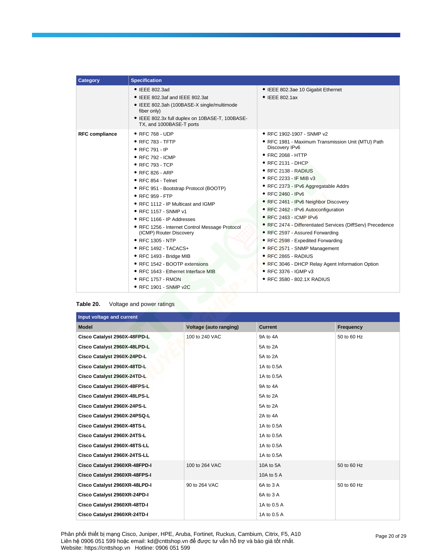| Category              | <b>Specification</b>                                                                                                                                                                                                                                                                                                                                                                                                                                                                                                                                                                                            |                                                                                                                                                                                                                                                                                                                                                                                                                                                                                                                                                                                                                                                                                          |  |
|-----------------------|-----------------------------------------------------------------------------------------------------------------------------------------------------------------------------------------------------------------------------------------------------------------------------------------------------------------------------------------------------------------------------------------------------------------------------------------------------------------------------------------------------------------------------------------------------------------------------------------------------------------|------------------------------------------------------------------------------------------------------------------------------------------------------------------------------------------------------------------------------------------------------------------------------------------------------------------------------------------------------------------------------------------------------------------------------------------------------------------------------------------------------------------------------------------------------------------------------------------------------------------------------------------------------------------------------------------|--|
|                       | $\bullet$ IEEE 802.3ad<br>$\bullet$ IEEE 802.3af and IEEE 802.3at<br>• IEEE 802.3ah (100BASE-X single/multimode<br>fiber only)<br>• IEEE 802.3x full duplex on 10BASE-T, 100BASE-<br>TX, and 1000BASE-T ports                                                                                                                                                                                                                                                                                                                                                                                                   | • IEEE 802.3ae 10 Gigabit Ethernet<br>$\bullet$ IEEE 802.1ax                                                                                                                                                                                                                                                                                                                                                                                                                                                                                                                                                                                                                             |  |
| <b>RFC</b> compliance | • RFC 768 - UDP<br>• RFC 783 - TFTP<br>• RFC 791 - IP<br>$\bullet$ RFC 792 - ICMP<br>• RFC 793 - TCP<br>$\bullet$ RFC 826 - ARP<br>$\bullet$ RFC 854 - Telnet<br>• RFC 951 - Bootstrap Protocol (BOOTP)<br>$\bullet$ RFC 959 - FTP<br>• RFC 1112 - IP Multicast and IGMP<br>• RFC 1157 - SNMP v1<br>• RFC 1166 - IP Addresses<br>• RFC 1256 - Internet Control Message Protocol<br>(ICMP) Router Discovery<br>• RFC 1305 - NTP<br>$\bullet$ RFC 1492 - TACACS+<br>• RFC 1493 - Bridge MIB<br>• RFC 1542 - BOOTP extensions<br>• RFC 1643 - Ethernet Interface MIB<br>• RFC 1757 - RMON<br>• RFC 1901 - SNMP v2C | • RFC 1902-1907 - SNMP v2<br>• RFC 1981 - Maximum Transmission Unit (MTU) Path<br>Discovery IPv6<br>• FRC 2068 - HTTP<br>$\bullet$ RFC 2131 - DHCP<br>• RFC 2138 - RADIUS<br>• RFC 2233 - IF MIB v3<br>• RFC 2373 - IPv6 Aggregatable Addrs<br>• RFC 2460 - IPv6<br>• RFC 2461 - IPv6 Neighbor Discovery<br>• RFC 2462 - IPv6 Autoconfiguration<br>• RFC 2463 - ICMP IPv6<br>• RFC 2474 - Differentiated Services (DiffServ) Precedence<br>• RFC 2597 - Assured Forwarding<br>• RFC 2598 - Expedited Forwarding<br>• RFC 2571 - SNMP Management<br>• RFC 2865 - RADIUS<br>• RFC 3046 - DHCP Relay Agent Information Option<br>$\bullet$ RFC 3376 - IGMP v3<br>• RFC 3580 - 802.1X RADIUS |  |

| Table 20. | Voltage and power ratings |
|-----------|---------------------------|
|-----------|---------------------------|

| Input voltage and current     |                               |                |             |
|-------------------------------|-------------------------------|----------------|-------------|
| <b>Model</b>                  | <b>Voltage (auto ranging)</b> | <b>Current</b> | Frequency   |
| Cisco Catalyst 2960X-48FPD-L  | 100 to 240 VAC                | 9A to 4A       | 50 to 60 Hz |
| Cisco Catalyst 2960X-48LPD-L  |                               | 5A to 2A       |             |
| Cisco Catalyst 2960X-24PD-L   |                               | 5A to 2A       |             |
| Cisco Catalyst 2960X-48TD-L   |                               | 1A to 0.5A     |             |
| Cisco Catalyst 2960X-24TD-L   |                               | 1A to 0.5A     |             |
| Cisco Catalyst 2960X-48FPS-L  |                               | 9A to 4A       |             |
| Cisco Catalyst 2960X-48LPS-L  |                               | 5A to 2A       |             |
| Cisco Catalyst 2960X-24PS-L   |                               | 5A to 2A       |             |
| Cisco Catalyst 2960X-24PSQ-L  |                               | 2A to 4A       |             |
| Cisco Catalyst 2960X-48TS-L   |                               | 1A to 0.5A     |             |
| Cisco Catalyst 2960X-24TS-L   |                               | 1A to 0.5A     |             |
| Cisco Catalyst 2960X-48TS-LL  |                               | 1A to 0.5A     |             |
| Cisco Catalyst 2960X-24TS-LL  |                               | 1A to 0.5A     |             |
| Cisco Catalyst 2960XR-48FPD-I | 100 to 264 VAC                | 10A to 5A      | 50 to 60 Hz |
| Cisco Catalyst 2960XR-48FPS-I |                               | 10A to 5 A     |             |
| Cisco Catalyst 2960XR-48LPD-I | 90 to 264 VAC                 | 6A to 3A       | 50 to 60 Hz |
| Cisco Catalyst 2960XR-24PD-I  |                               | 6A to 3 A      |             |
| Cisco Catalyst 2960XR-48TD-I  |                               | 1A to 0.5 A    |             |
| Cisco Catalyst 2960XR-24TD-I  |                               | 1A to 0.5 A    |             |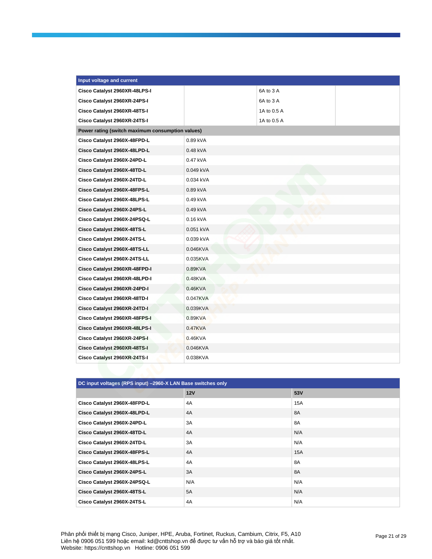| Input voltage and current                        |            |             |  |
|--------------------------------------------------|------------|-------------|--|
| Cisco Catalyst 2960XR-48LPS-I                    |            | 6A to 3 A   |  |
| Cisco Catalyst 2960XR-24PS-I                     |            | 6A to 3 A   |  |
| Cisco Catalyst 2960XR-48TS-I                     |            | 1A to 0.5 A |  |
| Cisco Catalyst 2960XR-24TS-I                     |            | 1A to 0.5 A |  |
| Power rating (switch maximum consumption values) |            |             |  |
| Cisco Catalyst 2960X-48FPD-L                     | 0.89 kVA   |             |  |
| Cisco Catalyst 2960X-48LPD-L                     | 0.48 kVA   |             |  |
| Cisco Catalyst 2960X-24PD-L                      | 0.47 kVA   |             |  |
| Cisco Catalyst 2960X-48TD-L                      | 0.049 kVA  |             |  |
| Cisco Catalyst 2960X-24TD-L                      | 0.034 kVA  |             |  |
| Cisco Catalyst 2960X-48FPS-L                     | 0.89 kVA   |             |  |
| Cisco Catalyst 2960X-48LPS-L                     | $0.49$ kVA |             |  |
| Cisco Catalyst 2960X-24PS-L                      | 0.49 kVA   |             |  |
| Cisco Catalyst 2960X-24PSQ-L                     | 0.16 kVA   |             |  |
| Cisco Catalyst 2960X-48TS-L                      | 0.051 kVA  |             |  |
| Cisco Catalyst 2960X-24TS-L                      | 0.039 kVA  |             |  |
| Cisco Catalyst 2960X-48TS-LL                     | 0.046KVA   |             |  |
| Cisco Catalyst 2960X-24TS-LL                     | 0.035KVA   |             |  |
| Cisco Catalyst 2960XR-48FPD-I                    | 0.89KVA    |             |  |
| Cisco Catalyst 2960XR-48LPD-I                    | 0.48KVA    |             |  |
| Cisco Catalyst 2960XR-24PD-I                     | $0.46$ KVA |             |  |
| Cisco Catalyst 2960XR-48TD-I                     | 0.047KVA   |             |  |
| Cisco Catalyst 2960XR-24TD-I                     | 0.039KVA   |             |  |
| Cisco Catalyst 2960XR-48FPS-I                    | 0.89KVA    |             |  |
| Cisco Catalyst 2960XR-48LPS-I                    | $0.47$ KVA |             |  |
| Cisco Catalyst 2960XR-24PS-I                     | $0.46$ KVA |             |  |
| Cisco Catalyst 2960XR-48TS-I                     | 0.046KVA   |             |  |
| Cisco Catalyst 2960XR-24TS-I                     | 0.038KVA   |             |  |

| DC input voltages (RPS input) -2960-X LAN Base switches only |            |           |  |
|--------------------------------------------------------------|------------|-----------|--|
|                                                              | <b>12V</b> | 53V       |  |
| Cisco Catalyst 2960X-48FPD-L                                 | 4A         | 15A       |  |
| Cisco Catalyst 2960X-48LPD-L                                 | 4A         | <b>8A</b> |  |
| Cisco Catalyst 2960X-24PD-L                                  | 3A         | 8A        |  |
| Cisco Catalyst 2960X-48TD-L                                  | 4A         | N/A       |  |
| Cisco Catalyst 2960X-24TD-L                                  | 3A         | N/A       |  |
| Cisco Catalyst 2960X-48FPS-L                                 | 4A         | 15A       |  |
| Cisco Catalyst 2960X-48LPS-L                                 | 4A         | 8A        |  |
| Cisco Catalyst 2960X-24PS-L                                  | 3A         | 8A        |  |
| Cisco Catalyst 2960X-24PSQ-L                                 | N/A        | N/A       |  |
| Cisco Catalyst 2960X-48TS-L                                  | 5A         | N/A       |  |
| Cisco Catalyst 2960X-24TS-L                                  | 4A         | N/A       |  |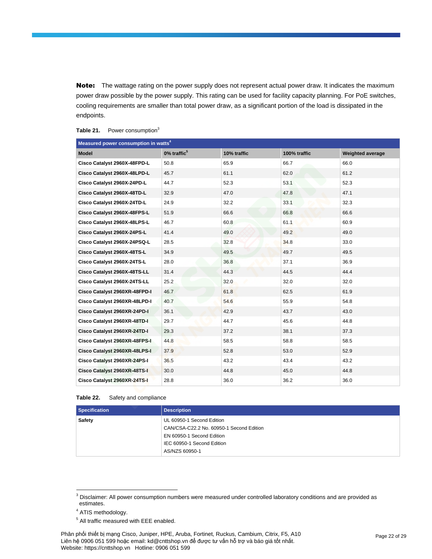Note: The wattage rating on the power supply does not represent actual power draw. It indicates the maximum power draw possible by the power supply. This rating can be used for facility capacity planning. For PoE switches, cooling requirements are smaller than total power draw, as a significant portion of the load is dissipated in the endpoints.

| Measured power consumption in watts <sup>4</sup> |                   |             |              |                         |
|--------------------------------------------------|-------------------|-------------|--------------|-------------------------|
| <b>Model</b>                                     | $0\%$ traffic $5$ | 10% traffic | 100% traffic | <b>Weighted average</b> |
| Cisco Catalyst 2960X-48FPD-L                     | 50.8              | 65.9        | 66.7         | 66.0                    |
| Cisco Catalyst 2960X-48LPD-L                     | 45.7              | 61.1        | 62.0         | 61.2                    |
| Cisco Catalyst 2960X-24PD-L                      | 44.7              | 52.3        | 53.1         | 52.3                    |
| Cisco Catalyst 2960X-48TD-L                      | 32.9              | 47.0        | 47.8         | 47.1                    |
| Cisco Catalyst 2960X-24TD-L                      | 24.9              | 32.2        | 33.1         | 32.3                    |
| Cisco Catalyst 2960X-48FPS-L                     | 51.9              | 66.6        | 66.8         | 66.6                    |
| Cisco Catalyst 2960X-48LPS-L                     | 46.7              | 60.8        | 61.1         | 60.9                    |
| Cisco Catalyst 2960X-24PS-L                      | 41.4              | 49.0        | 49.2         | 49.0                    |
| Cisco Catalyst 2960X-24PSQ-L                     | 28.5              | 32.8        | 34.8         | 33.0                    |
| Cisco Catalyst 2960X-48TS-L                      | 34.9              | 49.5        | 49.7         | 49.5                    |
| Cisco Catalyst 2960X-24TS-L                      | 28.0              | 36.8        | 37.1         | 36.9                    |
| Cisco Catalyst 2960X-48TS-LL                     | 31.4              | 44.3        | 44.5         | 44.4                    |
| Cisco Catalyst 2960X-24TS-LL                     | 25.2              | 32.0        | 32.0         | 32.0                    |
| Cisco Catalyst 2960XR-48FPD-I                    | 46.7              | 61.8        | 62.5         | 61.9                    |
| Cisco Catalyst 2960XR-48LPD-I                    | 40.7              | 54.6        | 55.9         | 54.8                    |
| Cisco Catalyst 2960XR-24PD-I                     | 36.1              | 42.9        | 43.7         | 43.0                    |
| Cisco Catalyst 2960XR-48TD-I                     | 29.7              | 44.7        | 45.6         | 44.8                    |
| Cisco Catalyst 2960XR-24TD-I                     | 29.3              | 37.2        | 38.1         | 37.3                    |
| Cisco Catalyst 2960XR-48FPS-I                    | 44.8              | 58.5        | 58.8         | 58.5                    |
| Cisco Catalyst 2960XR-48LPS-I                    | 37.9              | 52.8        | 53.0         | 52.9                    |
| Cisco Catalyst 2960XR-24PS-I                     | 36.5              | 43.2        | 43.4         | 43.2                    |
| Cisco Catalyst 2960XR-48TS-I                     | 30.0              | 44.8        | 45.0         | 44.8                    |
| Cisco Catalyst 2960XR-24TS-I                     | 28.8              | 36.0        | 36.2         | 36.0                    |

### Table 21. Power consumption<sup>3</sup>

**Table 22.** Safety and compliance

| Specification | <b>Description</b>                       |
|---------------|------------------------------------------|
| Safety        | UL 60950-1 Second Edition                |
|               | CAN/CSA-C22.2 No. 60950-1 Second Edition |
|               | EN 60950-1 Second Edition                |
|               | IEC 60950-1 Second Edition               |
|               | AS/NZS 60950-1                           |

 $^3$  Disclaimer: All power consumption numbers were measured under controlled laboratory conditions and are provided as estimates.

<sup>&</sup>lt;sup>4</sup> ATIS methodology.

<sup>&</sup>lt;sup>5</sup> All traffic measured with EEE enabled.

Phân phối thiết bị mạng Cisco, Juniper, HPE, Aruba, Fortinet, Ruckus, Cambium, Citrix, F5, A10 Liên hệ 0906 051 599 hoặc email: kd@cnttshop.vn để được tư vấn hỗ trợ và báo giá tốt nhất. Website: https://cnttshop.vn Hotline: 0906 051 599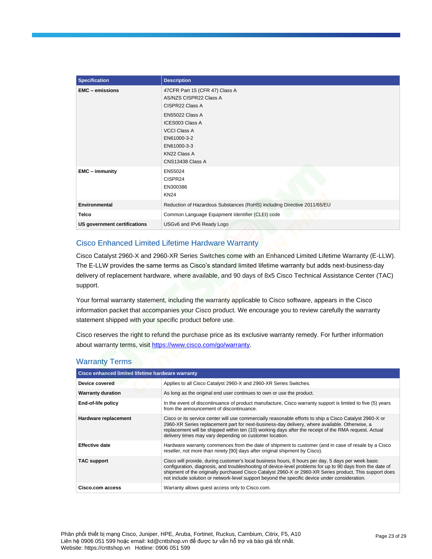| <b>Specification</b>         | <b>Description</b>                                                                                                                                                                                         |  |  |
|------------------------------|------------------------------------------------------------------------------------------------------------------------------------------------------------------------------------------------------------|--|--|
| <b>EMC</b> - emissions       | 47CFR Part 15 (CFR 47) Class A<br>AS/NZS CISPR22 Class A<br>CISPR22 Class A<br>EN55022 Class A<br>ICES003 Class A<br><b>VCCI Class A</b><br>EN61000-3-2<br>EN61000-3-3<br>KN22 Class A<br>CNS13438 Class A |  |  |
| <b>EMC</b> - immunity        | EN55024<br>CISPR24<br>EN300386<br><b>KN24</b>                                                                                                                                                              |  |  |
| <b>Environmental</b>         | Reduction of Hazardous Substances (RoHS) including Directive 2011/65/EU                                                                                                                                    |  |  |
| <b>Telco</b>                 | Common Language Equipment Identifier (CLEI) code                                                                                                                                                           |  |  |
| US government certifications | USGv6 and IPv6 Ready Logo                                                                                                                                                                                  |  |  |

# Cisco Enhanced Limited Lifetime Hardware Warranty

Cisco Catalyst 2960-X and 2960-XR Series Switches come with an Enhanced Limited Lifetime Warranty (E-LLW). The E-LLW provides the same terms as Cisco's standard limited lifetime warranty but adds next-business-day delivery of replacement hardware, where available, and 90 days of 8x5 Cisco Technical Assistance Center (TAC) support.

Your formal warranty statement, including the warranty applicable to Cisco software, appears in the Cisco information packet that accompanies your Cisco product. We encourage you to review carefully the warranty statement shipped with your specific product before use.

Cisco reserves the right to refund the purchase price as its exclusive warranty remedy. For further information about warranty terms, visi[t https://www.cisco.com/go/warranty.](https://www.cisco.com/go/warranty)

| Cisco enhanced limited lifetime hardware warranty |                                                                                                                                                                                                                                                                                                                                                                                                                             |  |  |  |
|---------------------------------------------------|-----------------------------------------------------------------------------------------------------------------------------------------------------------------------------------------------------------------------------------------------------------------------------------------------------------------------------------------------------------------------------------------------------------------------------|--|--|--|
| Device covered                                    | Applies to all Cisco Catalyst 2960-X and 2960-XR Series Switches.                                                                                                                                                                                                                                                                                                                                                           |  |  |  |
| <b>Warranty duration</b>                          | As long as the original end user continues to own or use the product.                                                                                                                                                                                                                                                                                                                                                       |  |  |  |
| End-of-life policy                                | In the event of discontinuance of product manufacture, Cisco warranty support is limited to five (5) years<br>from the announcement of discontinuance.                                                                                                                                                                                                                                                                      |  |  |  |
| Hardware replacement                              | Cisco or its service center will use commercially reasonable efforts to ship a Cisco Catalyst 2960-X or<br>2960-XR Series replacement part for next-business-day delivery, where available. Otherwise, a<br>replacement will be shipped within ten (10) working days after the receipt of the RMA request. Actual<br>delivery times may vary depending on customer location.                                                |  |  |  |
| <b>Effective date</b>                             | Hardware warranty commences from the date of shipment to customer (and in case of resale by a Cisco<br>reseller, not more than ninety [90] days after original shipment by Cisco).                                                                                                                                                                                                                                          |  |  |  |
| <b>TAC support</b>                                | Cisco will provide, during customer's local business hours, 8 hours per day, 5 days per week basic<br>configuration, diagnosis, and troubleshooting of device-level problems for up to 90 days from the date of<br>shipment of the originally purchased Cisco Catalyst 2960-X or 2960-XR Series product. This support does<br>not include solution or network-level support beyond the specific device under consideration. |  |  |  |
| Cisco.com access                                  | Warranty allows guest access only to Cisco.com.                                                                                                                                                                                                                                                                                                                                                                             |  |  |  |

## Warranty Terms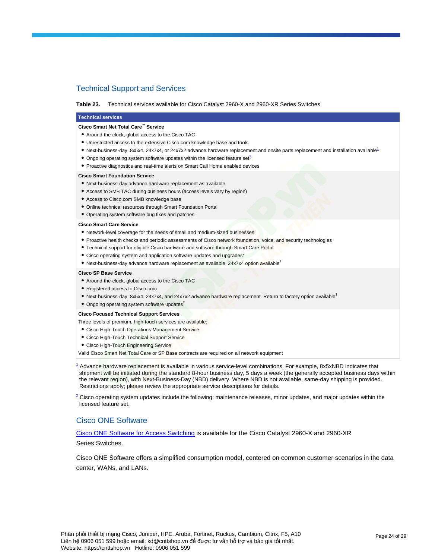# Technical Support and Services

#### Table 23. Technical services available for Cisco Catalyst 2960-X and 2960-XR Series Switches

### **Technical services**

#### **Cisco Smart Net Total Care™ Service**

- Around-the-clock, global access to the Cisco TAC
- Unrestricted access to the extensive Cisco.com knowledge base and tools
- N[e](http://www.cisco.com/en/US/prod/collateral/switches/ps5718/ps6406/product_data_sheet0900aecd80322c0c.html#wp9002122)xt-business-day, 8x5x4, 24x7x4, or 24x7x2 advance hardware replacement and onsite parts replacement and installation available<sup>1</sup>
- Ongoing operating system software updates within the licensed feature s[et](http://www.cisco.com/en/US/prod/collateral/switches/ps5718/ps6406/product_data_sheet0900aecd80322c0c.html#wp9002123) $^2$
- Proactive diagnostics and real-time alerts on Smart Call Home enabled devices

#### **Cisco Smart Foundation Service**

- Next-business-day advance hardware replacement as available
- Access to SMB TAC during business hours (access levels vary by region)
- Access to Cisco.com SMB knowledge base
- Online technical resources through Smart Foundation Portal
- Operating system software bug fixes and patches

#### **Cisco Smart Care Service**

- Network-level coverage for the needs of small and medium-sized businesses
- Proactive health checks and periodic assessments of Cisco network foundation, voice, and security technologies
- Technical support for eligible Cisco hardware and software through Smart Care Portal
- $\bullet$  Cisco operating system and application software updates and upgrades<sup>2</sup>
- Next-business-day advance hardware replacement as available, 24x7x4 option available<sup>1</sup>

#### **Cisco SP Base Service**

- Around-the-clock, global access to the Cisco TAC
- Registered access to Cisco.com
- Next-business-day, 8x5x4, 24x7x4, and 24x7x2 advance hardware replacement. Return to factory option available<sup>1</sup>
- $\bullet$  Ongoing operating system software updates<sup>2</sup>

#### **Cisco Focused Technical Support Services**

- Three levels of premium, high-touch services are available:
- Cisco High-Touch Operations Management Service
- Cisco High-Touch Technical Support Service
- Cisco High-Touch Engineering Service

Valid Cisco Smart Net Total Care or SP Base contracts are required on all network equipment

 $^4$  [A](http://www.cisco.com/en/US/prod/collateral/switches/ps5718/ps6406/product_data_sheet0900aecd80322c0c.html#wp9002127)dvance hardware replacement is available in various service-level combinations. For example, 8x5xNBD indicates that shipment will be initiated during the standard 8-hour business day, 5 days a week (the generally accepted business days within the relevant region), with Next-Business-Day (NBD) delivery. Where NBD is not available, same-day shipping is provided. Restrictions apply; please review the appropriate service descriptions for details.

 $^2$  [C](http://www.cisco.com/en/US/prod/collateral/switches/ps5718/ps6406/product_data_sheet0900aecd80322c0c.html#wp9002128)isco operating system updates include the following: maintenance releases, minor updates, and major updates within the licensed feature set.

## Cisco ONE Software

[Cisco ONE Software for Access Switching](https://www.cisco.com/c/en/us/products/collateral/software/one-access/datasheet-c78-733013.html) is available for the Cisco Catalyst 2960-X and 2960-XR

Series Switches.

Cisco ONE Software offers a simplified consumption model, centered on common customer scenarios in the data center, WANs, and LANs.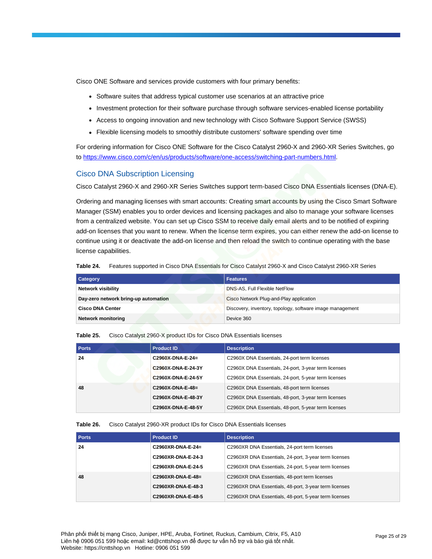Cisco ONE Software and services provide customers with four primary benefits:

- Software suites that address typical customer use scenarios at an attractive price
- Investment protection for their software purchase through software services-enabled license portability
- Access to ongoing innovation and new technology with Cisco Software Support Service (SWSS)
- Flexible licensing models to smoothly distribute customers' software spending over time

For ordering information for Cisco ONE Software for the Cisco Catalyst 2960-X and 2960-XR Series Switches, go to [https://www.cisco.com/c/en/us/products/software/one-access/switching-part-numbers.html.](https://www.cisco.com/c/en/us/products/software/one-access/switching-part-numbers.html)

## Cisco DNA Subscription Licensing

Cisco Catalyst 2960-X and 2960-XR Series Switches support term-based Cisco DNA Essentials licenses (DNA-E).

Ordering and managing licenses with smart accounts: Creating smart accounts by using the Cisco Smart Software Manager (SSM) enables you to order devices and licensing packages and also to manage your software licenses from a centralized website. You can set up Cisco SSM to receive daily email alerts and to be notified of expiring add-on licenses that you want to renew. When the license term expires, you can either renew the add-on license to continue using it or deactivate the add-on license and then reload the switch to continue operating with the base license capabilities.

|  |  |  |  | Table 24. Features supported in Cisco DNA Essentials for Cisco Catalyst 2960-X and Cisco Catalyst 2960-XR Series |
|--|--|--|--|------------------------------------------------------------------------------------------------------------------|
|--|--|--|--|------------------------------------------------------------------------------------------------------------------|

| <b>Category</b>                      | <b>Features</b>                                           |
|--------------------------------------|-----------------------------------------------------------|
| <b>Network visibility</b>            | DNS-AS, Full Flexible NetFlow                             |
| Day-zero network bring-up automation | Cisco Network Plug-and-Play application                   |
| <b>Cisco DNA Center</b>              | Discovery, inventory, topology, software image management |
| <b>Network monitoring</b>            | Device 360                                                |

#### **Table 25.** Cisco Catalyst 2960-X product IDs for Cisco DNA Essentials licenses

| <b>Ports</b> | <b>Product ID</b>  | <b>Description</b>                                   |
|--------------|--------------------|------------------------------------------------------|
| 24           | $C2960X-DNA-E-24=$ | C2960X DNA Essentials, 24-port term licenses         |
|              | C2960X-DNA-E-24-3Y | C2960X DNA Essentials, 24-port, 3-year term licenses |
|              | C2960X-DNA-E-24-5Y | C2960X DNA Essentials, 24-port, 5-year term licenses |
| 48           | $C2960X-DNA-E-48=$ | C2960X DNA Essentials, 48-port term licenses         |
|              | C2960X-DNA-E-48-3Y | C2960X DNA Essentials, 48-port, 3-year term licenses |
|              | C2960X-DNA-E-48-5Y | C2960X DNA Essentials, 48-port, 5-year term licenses |

## **Table 26.** Cisco Catalyst 2960-XR product IDs for Cisco DNA Essentials licenses

| <b>Ports</b> | <b>Product ID</b>   | <b>Description</b>                                    |
|--------------|---------------------|-------------------------------------------------------|
| 24           | C2960XR-DNA-E-24=   | C2960XR DNA Essentials, 24-port term licenses         |
|              | C2960XR-DNA-E-24-3  | C2960XR DNA Essentials, 24-port, 3-year term licenses |
|              | C2960XR-DNA-E-24-5  | C2960XR DNA Essentials, 24-port, 5-year term licenses |
| 48           | $C2960XR-DNA-E-48=$ | C2960XR DNA Essentials, 48-port term licenses         |
|              | C2960XR-DNA-E-48-3  | C2960XR DNA Essentials, 48-port, 3-year term licenses |
|              | C2960XR-DNA-E-48-5  | C2960XR DNA Essentials, 48-port, 5-year term licenses |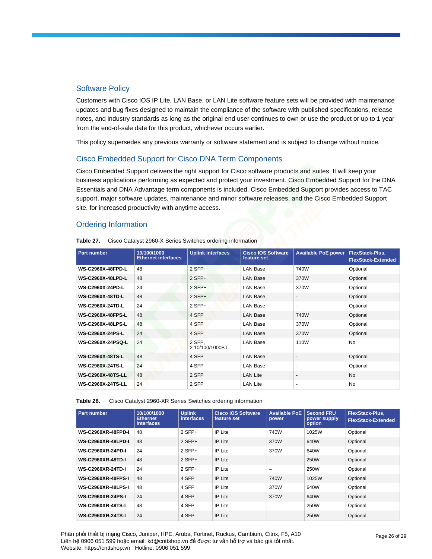## Software Policy

Customers with Cisco IOS IP Lite, LAN Base, or LAN Lite software feature sets will be provided with maintenance updates and bug fixes designed to maintain the compliance of the software with published specifications, release notes, and industry standards as long as the original end user continues to own or use the product or up to 1 year from the end-of-sale date for this product, whichever occurs earlier.

This policy supersedes any previous warranty or software statement and is subject to change without notice.

# Cisco Embedded Support for Cisco DNA Term Components

Cisco Embedded Support delivers the right support for Cisco software products and suites. It will keep your business applications performing as expected and protect your investment. Cisco Embedded Support for the DNA Essentials and DNA Advantage term components is included. Cisco Embedded Support provides access to TAC support, major software updates, maintenance and minor software releases, and the Cisco Embedded Support site, for increased productivity with anytime access.

## Ordering Information

| <b>Part number</b>       | 10/100/1000<br><b>Ethernet interfaces</b> | <b>Uplink interfaces</b>  | <b>Cisco IOS Software</b><br>feature set | <b>Available PoE power</b> | <b>FlexStack-Plus,</b><br><b>FlexStack-Extended</b> |
|--------------------------|-------------------------------------------|---------------------------|------------------------------------------|----------------------------|-----------------------------------------------------|
| <b>WS-C2960X-48FPD-L</b> | 48                                        | $2$ SFP+                  | <b>LAN Base</b>                          | 740W                       | Optional                                            |
| <b>WS-C2960X-48LPD-L</b> | 48                                        | $2$ SFP+                  | <b>LAN Base</b>                          | 370W                       | Optional                                            |
| <b>WS-C2960X-24PD-L</b>  | 24                                        | $2$ SFP+                  | LAN Base                                 | 370W                       | Optional                                            |
| <b>WS-C2960X-48TD-L</b>  | 48                                        | $2$ SFP+                  | <b>LAN Base</b>                          |                            | Optional                                            |
| <b>WS-C2960X-24TD-L</b>  | 24                                        | $2$ SFP+                  | LAN Base                                 |                            | Optional                                            |
| <b>WS-C2960X-48FPS-L</b> | 48                                        | 4 SFP                     | <b>LAN Base</b>                          | 740W                       | Optional                                            |
| <b>WS-C2960X-48LPS-L</b> | 48                                        | 4 SFP                     | LAN Base                                 | 370W                       | Optional                                            |
| <b>WS-C2960X-24PS-L</b>  | 24                                        | 4 SFP                     | <b>LAN Base</b>                          | 370W                       | Optional                                            |
| WS-C2960X-24PSQ-L        | 24                                        | 2 SFP.<br>2 10/100/1000BT | <b>LAN Base</b>                          | 110W                       | <b>No</b>                                           |
| <b>WS-C2960X-48TS-L</b>  | 48                                        | 4 SFP                     | <b>LAN Base</b>                          |                            | Optional                                            |
| <b>WS-C2960X-24TS-L</b>  | 24                                        | 4 SFP                     | LAN Base                                 | $\overline{\phantom{a}}$   | Optional                                            |
| <b>WS-C2960X-48TS-LL</b> | 48                                        | 2 SFP                     | <b>LAN Lite</b>                          | -                          | <b>No</b>                                           |
| <b>WS-C2960X-24TS-LL</b> | 24                                        | 2 SFP                     | <b>LAN Lite</b>                          | ٠                          | No                                                  |

**Table 27.** Cisco Catalyst 2960-X Series Switches ordering information

**Table 28.** Cisco Catalyst 2960-XR Series Switches ordering information

| <b>Part number</b>        | 10/100/1000<br><b>Ethernet</b><br><b>interfaces</b> | <b>Uplink</b><br><b>interfaces</b> | <b>Cisco IOS Software</b><br>feature set | <b>Available PoE</b><br>power | <b>Second FRU</b><br>power supply<br>option | <b>FlexStack-Plus.</b><br><b>FlexStack-Extended</b> |
|---------------------------|-----------------------------------------------------|------------------------------------|------------------------------------------|-------------------------------|---------------------------------------------|-----------------------------------------------------|
| <b>WS-C2960XR-48FPD-I</b> | 48                                                  | $2$ SFP+                           | IP Lite                                  | 740W                          | 1025W                                       | Optional                                            |
| <b>WS-C2960XR-48LPD-I</b> | 48                                                  | $2$ SFP+                           | IP Lite                                  | 370W                          | 640W                                        | Optional                                            |
| <b>WS-C2960XR-24PD-I</b>  | 24                                                  | $2$ SFP+                           | <b>IP</b> Lite                           | 370W                          | 640W                                        | Optional                                            |
| <b>WS-C2960XR-48TD-I</b>  | 48                                                  | $2$ SFP+                           | <b>IP</b> Lite                           | $\overline{\phantom{0}}$      | 250W                                        | Optional                                            |
| <b>WS-C2960XR-24TD-I</b>  | 24                                                  | $2$ SFP+                           | <b>IP</b> Lite                           | -                             | 250W                                        | Optional                                            |
| <b>WS-C2960XR-48FPS-I</b> | 48                                                  | 4 SFP                              | <b>IP Lite</b>                           | 740W                          | 1025W                                       | Optional                                            |
| <b>WS-C2960XR-48LPS-I</b> | 48                                                  | 4 SFP                              | <b>IP</b> Lite                           | 370W                          | 640W                                        | Optional                                            |
| <b>WS-C2960XR-24PS-I</b>  | 24                                                  | 4 SFP                              | <b>IP</b> Lite                           | 370W                          | 640W                                        | Optional                                            |
| <b>WS-C2960XR-48TS-I</b>  | 48                                                  | 4 SFP                              | <b>IP</b> Lite                           | -                             | 250W                                        | Optional                                            |
| <b>WS-C2960XR-24TS-I</b>  | 24                                                  | 4 SFP                              | <b>IP</b> Lite                           | $\overline{\phantom{0}}$      | 250W                                        | Optional                                            |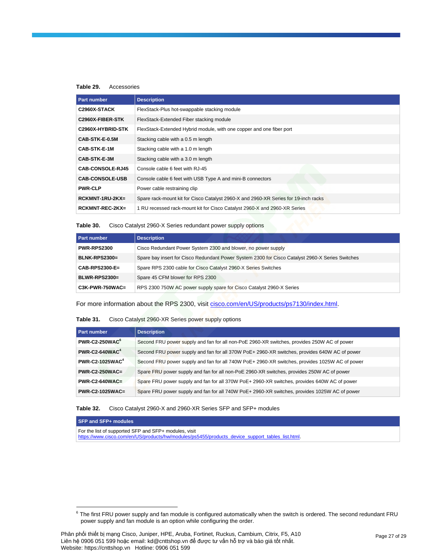### **Table 29.** Accessories

| <b>Part number</b>      | <b>Description</b>                                                                  |
|-------------------------|-------------------------------------------------------------------------------------|
| C2960X-STACK            | FlexStack-Plus hot-swappable stacking module                                        |
| C2960X-FIBER-STK        | FlexStack-Extended Fiber stacking module                                            |
| C2960X-HYBRID-STK       | FlexStack-Extended Hybrid module, with one copper and one fiber port                |
| CAB-STK-E-0.5M          | Stacking cable with a 0.5 m length                                                  |
| CAB-STK-E-1M            | Stacking cable with a 1.0 m length                                                  |
| CAB-STK-E-3M            | Stacking cable with a 3.0 m length                                                  |
| <b>CAB-CONSOLE-RJ45</b> | Console cable 6 feet with RJ-45                                                     |
| <b>CAB-CONSOLE-USB</b>  | Console cable 6 feet with USB Type A and mini-B connectors                          |
| <b>PWR-CLP</b>          | Power cable restraining clip                                                        |
| $RCKMNT-1RU-2KX=$       | Spare rack-mount kit for Cisco Catalyst 2960-X and 2960-XR Series for 19-inch racks |
| $RCKMNT-REC-2KX=$       | 1 RU recessed rack-mount kit for Cisco Catalyst 2960-X and 2960-XR Series           |

## **Table 30.** Cisco Catalyst 2960-X Series redundant power supply options

| <b>Part number</b> | <b>Description</b>                                                                               |
|--------------------|--------------------------------------------------------------------------------------------------|
| <b>PWR-RPS2300</b> | Cisco Redundant Power System 2300 and blower, no power supply                                    |
| $BLNK-RPS2300=$    | Spare bay insert for Cisco Redundant Power System 2300 for Cisco Catalyst 2960-X Series Switches |
| $CAB-RPS2300-E=$   | Spare RPS 2300 cable for Cisco Catalyst 2960-X Series Switches                                   |
| BLWR-RPS2300=      | Spare 45 CFM blower for RPS 2300                                                                 |
| $C3K-PWR-750WAC=$  | RPS 2300 750W AC power supply spare for Cisco Catalyst 2960-X Series                             |

For more information about the RPS 2300, visit [cisco.com/en/US/products/ps7130/index.html.](https://www.cisco.com/en/US/products/ps7130/index.html)

## **Table 31.** Cisco Catalyst 2960-XR Series power supply options

| Part number                       | <b>Description</b>                                                                             |
|-----------------------------------|------------------------------------------------------------------------------------------------|
| PWR-C2-250WAC <sup>6</sup>        | Second FRU power supply and fan for all non-PoE 2960-XR switches, provides 250W AC of power    |
| $PWR$ -C2-640WAC <sup>4</sup>     | Second FRU power supply and fan for all 370W PoE+ 2960-XR switches, provides 640W AC of power  |
| <b>PWR-C2-1025WAC<sup>4</sup></b> | Second FRU power supply and fan for all 740W PoE+ 2960-XR switches, provides 1025W AC of power |
| $PWR-C2-250WAC=$                  | Spare FRU power supply and fan for all non-PoE 2960-XR switches, provides 250W AC of power     |
| $PWR-C2-640WAC=$                  | Spare FRU power supply and fan for all 370W PoE+ 2960-XR switches, provides 640W AC of power   |
| $PWR-C2-1025WAC=$                 | Spare FRU power supply and fan for all 740W PoE+ 2960-XR switches, provides 1025W AC of power  |

## **Table 32.** Cisco Catalyst 2960-X and 2960-XR Series SFP and SFP+ modules

**SFP and SFP+ modules**

For the list of supported SFP and SFP+ modules, visit [https://www.cisco.com/en/US/products/hw/modules/ps5455/products\\_device\\_support\\_tables\\_list.html.](https://www.cisco.com/en/US/products/hw/modules/ps5455/products_device_support_tables_list.html)

 $^6$  The first FRU power supply and fan module is configured automatically when the switch is ordered. The second redundant FRU power supply and fan module is an option while configuring the order.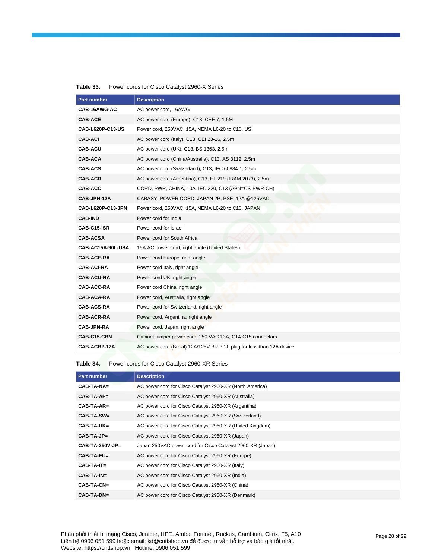| <b>Part number</b> | <b>Description</b>                                                    |
|--------------------|-----------------------------------------------------------------------|
| CAB-16AWG-AC       | AC power cord, 16AWG                                                  |
| <b>CAB-ACE</b>     | AC power cord (Europe), C13, CEE 7, 1.5M                              |
| CAB-L620P-C13-US   | Power cord, 250VAC, 15A, NEMA L6-20 to C13, US                        |
| <b>CAB-ACI</b>     | AC power cord (Italy), C13, CEI 23-16, 2.5m                           |
| <b>CAB-ACU</b>     | AC power cord (UK), C13, BS 1363, 2.5m                                |
| <b>CAB-ACA</b>     | AC power cord (China/Australia), C13, AS 3112, 2.5m                   |
| <b>CAB-ACS</b>     | AC power cord (Switzerland), C13, IEC 60884-1, 2.5m                   |
| <b>CAB-ACR</b>     | AC power cord (Argentina), C13, EL 219 (IRAM 2073), 2.5m              |
| <b>CAB-ACC</b>     | CORD, PWR, CHINA, 10A, IEC 320, C13 (APN=CS-PWR-CH)                   |
| CAB-JPN-12A        | CABASY, POWER CORD, JAPAN 2P, PSE, 12A @125VAC                        |
| CAB-L620P-C13-JPN  | Power cord, 250VAC, 15A, NEMA L6-20 to C13, JAPAN                     |
| <b>CAB-IND</b>     | Power cord for India                                                  |
| CAB-C15-ISR        | Power cord for Israel                                                 |
| <b>CAB-ACSA</b>    | Power cord for South Africa                                           |
| CAB-AC15A-90L-USA  | 15A AC power cord, right angle (United States)                        |
| <b>CAB-ACE-RA</b>  | Power cord Europe, right angle                                        |
| <b>CAB-ACI-RA</b>  | Power cord Italy, right angle                                         |
| <b>CAB-ACU-RA</b>  | Power cord UK, right angle                                            |
| CAB-ACC-RA         | Power cord China, right angle                                         |
| CAB-ACA-RA         | Power cord, Australia, right angle                                    |
| <b>CAB-ACS-RA</b>  | Power cord for Switzerland, right angle                               |
| <b>CAB-ACR-RA</b>  | Power cord, Argentina, right angle                                    |
| <b>CAB-JPN-RA</b>  | Power cord, Japan, right angle                                        |
| CAB-C15-CBN        | Cabinet jumper power cord, 250 VAC 13A, C14-C15 connectors            |
| CAB-ACBZ-12A       | AC power cord (Brazil) 12A/125V BR-3-20 plug for less than 12A device |

| Table 33. | Power cords for Cisco Catalyst 2960-X Series |
|-----------|----------------------------------------------|
|-----------|----------------------------------------------|

**Table 34.** Power cords for Cisco Catalyst 2960-XR Series

| <b>Part number</b> | <b>Description</b>                                         |
|--------------------|------------------------------------------------------------|
| $CAB-TA-NA=$       | AC power cord for Cisco Catalyst 2960-XR (North America)   |
| $CAB-TA-AP=$       | AC power cord for Cisco Catalyst 2960-XR (Australia)       |
| $CAB-TA-AR=$       | AC power cord for Cisco Catalyst 2960-XR (Argentina)       |
| CAB-TA-SW=         | AC power cord for Cisco Catalyst 2960-XR (Switzerland)     |
| CAB-TA-UK=         | AC power cord for Cisco Catalyst 2960-XR (United Kingdom)  |
| $CAB-TA-JP=$       | AC power cord for Cisco Catalyst 2960-XR (Japan)           |
| $CAB-TA-250V-JP=$  | Japan 250VAC power cord for Cisco Catalyst 2960-XR (Japan) |
| $CAB-TA-EU=$       | AC power cord for Cisco Catalyst 2960-XR (Europe)          |
| $CAB-TA-IT=$       | AC power cord for Cisco Catalyst 2960-XR (Italy)           |
| $CAB-TA-IN=$       | AC power cord for Cisco Catalyst 2960-XR (India)           |
| $CAB-TA-CN=$       | AC power cord for Cisco Catalyst 2960-XR (China)           |
| $CAB-TA-DN=$       | AC power cord for Cisco Catalyst 2960-XR (Denmark)         |